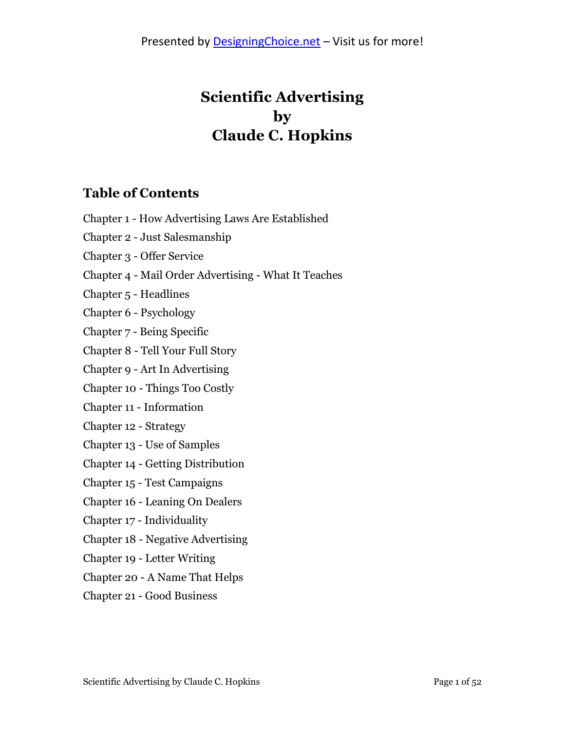# **Scientific Advertising by Claude C. Hopkins**

# **Table of Contents**

Chapter 1 - How Advertising Laws Are Established

Chapter 2 - Just Salesmanship

Chapter 3 - Offer Service

Chapter 4 - Mail Order Advertising - What It Teaches

Chapter 5 - Headlines

- Chapter 6 Psychology
- Chapter 7 Being Specific

Chapter 8 - Tell Your Full Story

Chapter 9 - Art In Advertising

Chapter 10 - Things Too Costly

Chapter 11 - Information

Chapter 12 - Strategy

Chapter 13 - Use of Samples

Chapter 14 - Getting Distribution

Chapter 15 - Test Campaigns

Chapter 16 - Leaning On Dealers

Chapter 17 - Individuality

Chapter 18 - Negative Advertising

Chapter 19 - Letter Writing

Chapter 20 - A Name That Helps

Chapter 21 - Good Business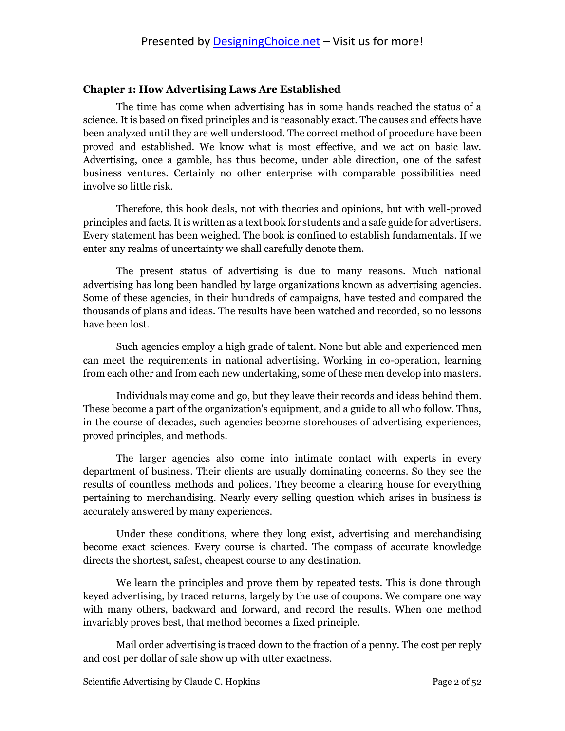#### **Chapter 1: How Advertising Laws Are Established**

The time has come when advertising has in some hands reached the status of a science. It is based on fixed principles and is reasonably exact. The causes and effects have been analyzed until they are well understood. The correct method of procedure have been proved and established. We know what is most effective, and we act on basic law. Advertising, once a gamble, has thus become, under able direction, one of the safest business ventures. Certainly no other enterprise with comparable possibilities need involve so little risk.

Therefore, this book deals, not with theories and opinions, but with well-proved principles and facts. It is written as a text book for students and a safe guide for advertisers. Every statement has been weighed. The book is confined to establish fundamentals. If we enter any realms of uncertainty we shall carefully denote them.

The present status of advertising is due to many reasons. Much national advertising has long been handled by large organizations known as advertising agencies. Some of these agencies, in their hundreds of campaigns, have tested and compared the thousands of plans and ideas. The results have been watched and recorded, so no lessons have been lost.

Such agencies employ a high grade of talent. None but able and experienced men can meet the requirements in national advertising. Working in co-operation, learning from each other and from each new undertaking, some of these men develop into masters.

Individuals may come and go, but they leave their records and ideas behind them. These become a part of the organization's equipment, and a guide to all who follow. Thus, in the course of decades, such agencies become storehouses of advertising experiences, proved principles, and methods.

The larger agencies also come into intimate contact with experts in every department of business. Their clients are usually dominating concerns. So they see the results of countless methods and polices. They become a clearing house for everything pertaining to merchandising. Nearly every selling question which arises in business is accurately answered by many experiences.

Under these conditions, where they long exist, advertising and merchandising become exact sciences. Every course is charted. The compass of accurate knowledge directs the shortest, safest, cheapest course to any destination.

We learn the principles and prove them by repeated tests. This is done through keyed advertising, by traced returns, largely by the use of coupons. We compare one way with many others, backward and forward, and record the results. When one method invariably proves best, that method becomes a fixed principle.

Mail order advertising is traced down to the fraction of a penny. The cost per reply and cost per dollar of sale show up with utter exactness.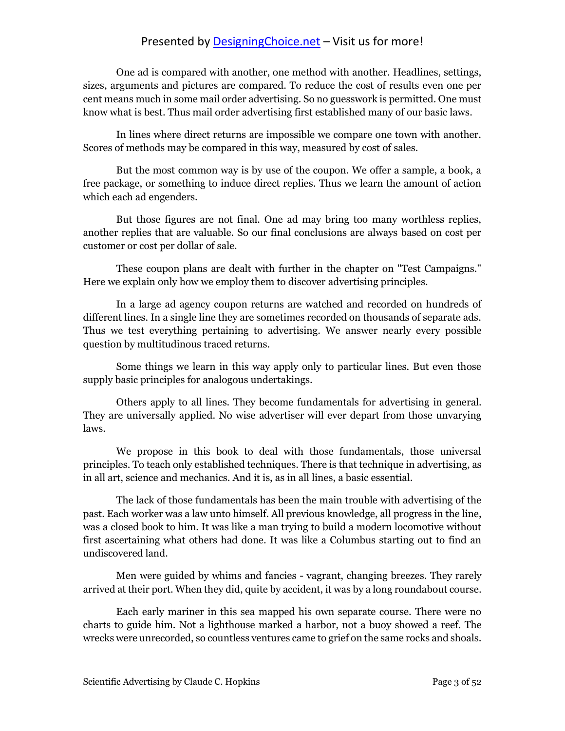One ad is compared with another, one method with another. Headlines, settings, sizes, arguments and pictures are compared. To reduce the cost of results even one per cent means much in some mail order advertising. So no guesswork is permitted. One must know what is best. Thus mail order advertising first established many of our basic laws.

In lines where direct returns are impossible we compare one town with another. Scores of methods may be compared in this way, measured by cost of sales.

But the most common way is by use of the coupon. We offer a sample, a book, a free package, or something to induce direct replies. Thus we learn the amount of action which each ad engenders.

But those figures are not final. One ad may bring too many worthless replies, another replies that are valuable. So our final conclusions are always based on cost per customer or cost per dollar of sale.

These coupon plans are dealt with further in the chapter on "Test Campaigns." Here we explain only how we employ them to discover advertising principles.

In a large ad agency coupon returns are watched and recorded on hundreds of different lines. In a single line they are sometimes recorded on thousands of separate ads. Thus we test everything pertaining to advertising. We answer nearly every possible question by multitudinous traced returns.

Some things we learn in this way apply only to particular lines. But even those supply basic principles for analogous undertakings.

Others apply to all lines. They become fundamentals for advertising in general. They are universally applied. No wise advertiser will ever depart from those unvarying laws.

We propose in this book to deal with those fundamentals, those universal principles. To teach only established techniques. There is that technique in advertising, as in all art, science and mechanics. And it is, as in all lines, a basic essential.

The lack of those fundamentals has been the main trouble with advertising of the past. Each worker was a law unto himself. All previous knowledge, all progress in the line, was a closed book to him. It was like a man trying to build a modern locomotive without first ascertaining what others had done. It was like a Columbus starting out to find an undiscovered land.

Men were guided by whims and fancies - vagrant, changing breezes. They rarely arrived at their port. When they did, quite by accident, it was by a long roundabout course.

Each early mariner in this sea mapped his own separate course. There were no charts to guide him. Not a lighthouse marked a harbor, not a buoy showed a reef. The wrecks were unrecorded, so countless ventures came to grief on the same rocks and shoals.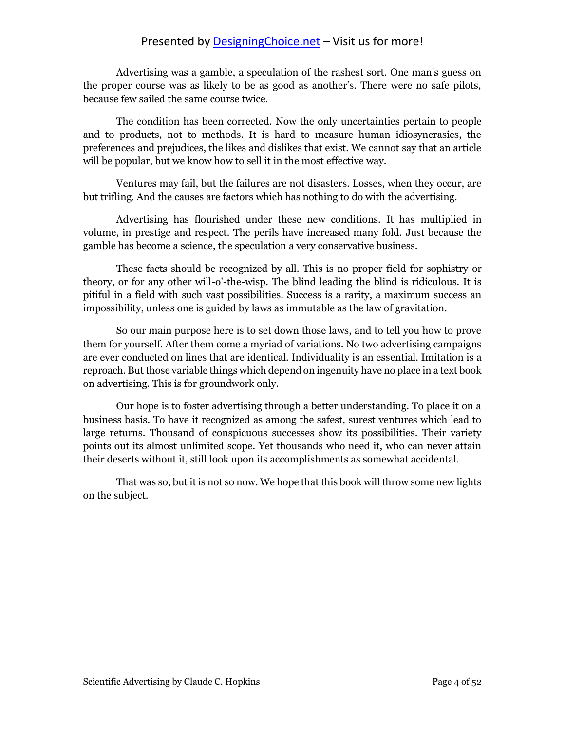Advertising was a gamble, a speculation of the rashest sort. One man's guess on the proper course was as likely to be as good as another's. There were no safe pilots, because few sailed the same course twice.

The condition has been corrected. Now the only uncertainties pertain to people and to products, not to methods. It is hard to measure human idiosyncrasies, the preferences and prejudices, the likes and dislikes that exist. We cannot say that an article will be popular, but we know how to sell it in the most effective way.

Ventures may fail, but the failures are not disasters. Losses, when they occur, are but trifling. And the causes are factors which has nothing to do with the advertising.

Advertising has flourished under these new conditions. It has multiplied in volume, in prestige and respect. The perils have increased many fold. Just because the gamble has become a science, the speculation a very conservative business.

These facts should be recognized by all. This is no proper field for sophistry or theory, or for any other will-o'-the-wisp. The blind leading the blind is ridiculous. It is pitiful in a field with such vast possibilities. Success is a rarity, a maximum success an impossibility, unless one is guided by laws as immutable as the law of gravitation.

So our main purpose here is to set down those laws, and to tell you how to prove them for yourself. After them come a myriad of variations. No two advertising campaigns are ever conducted on lines that are identical. Individuality is an essential. Imitation is a reproach. But those variable things which depend on ingenuity have no place in a text book on advertising. This is for groundwork only.

Our hope is to foster advertising through a better understanding. To place it on a business basis. To have it recognized as among the safest, surest ventures which lead to large returns. Thousand of conspicuous successes show its possibilities. Their variety points out its almost unlimited scope. Yet thousands who need it, who can never attain their deserts without it, still look upon its accomplishments as somewhat accidental.

That was so, but it is not so now. We hope that this book will throw some new lights on the subject.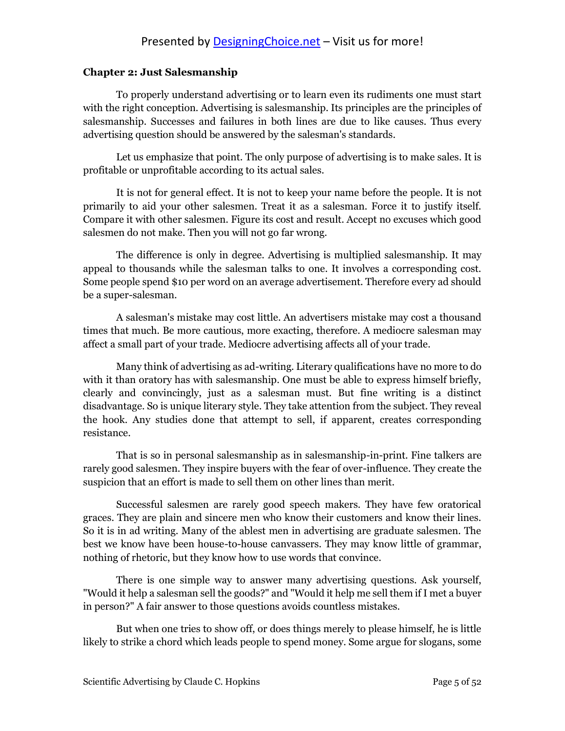#### **Chapter 2: Just Salesmanship**

To properly understand advertising or to learn even its rudiments one must start with the right conception. Advertising is salesmanship. Its principles are the principles of salesmanship. Successes and failures in both lines are due to like causes. Thus every advertising question should be answered by the salesman's standards.

Let us emphasize that point. The only purpose of advertising is to make sales. It is profitable or unprofitable according to its actual sales.

It is not for general effect. It is not to keep your name before the people. It is not primarily to aid your other salesmen. Treat it as a salesman. Force it to justify itself. Compare it with other salesmen. Figure its cost and result. Accept no excuses which good salesmen do not make. Then you will not go far wrong.

The difference is only in degree. Advertising is multiplied salesmanship. It may appeal to thousands while the salesman talks to one. It involves a corresponding cost. Some people spend \$10 per word on an average advertisement. Therefore every ad should be a super-salesman.

A salesman's mistake may cost little. An advertisers mistake may cost a thousand times that much. Be more cautious, more exacting, therefore. A mediocre salesman may affect a small part of your trade. Mediocre advertising affects all of your trade.

Many think of advertising as ad-writing. Literary qualifications have no more to do with it than oratory has with salesmanship. One must be able to express himself briefly, clearly and convincingly, just as a salesman must. But fine writing is a distinct disadvantage. So is unique literary style. They take attention from the subject. They reveal the hook. Any studies done that attempt to sell, if apparent, creates corresponding resistance.

That is so in personal salesmanship as in salesmanship-in-print. Fine talkers are rarely good salesmen. They inspire buyers with the fear of over-influence. They create the suspicion that an effort is made to sell them on other lines than merit.

Successful salesmen are rarely good speech makers. They have few oratorical graces. They are plain and sincere men who know their customers and know their lines. So it is in ad writing. Many of the ablest men in advertising are graduate salesmen. The best we know have been house-to-house canvassers. They may know little of grammar, nothing of rhetoric, but they know how to use words that convince.

There is one simple way to answer many advertising questions. Ask yourself, "Would it help a salesman sell the goods?" and "Would it help me sell them if I met a buyer in person?" A fair answer to those questions avoids countless mistakes.

But when one tries to show off, or does things merely to please himself, he is little likely to strike a chord which leads people to spend money. Some argue for slogans, some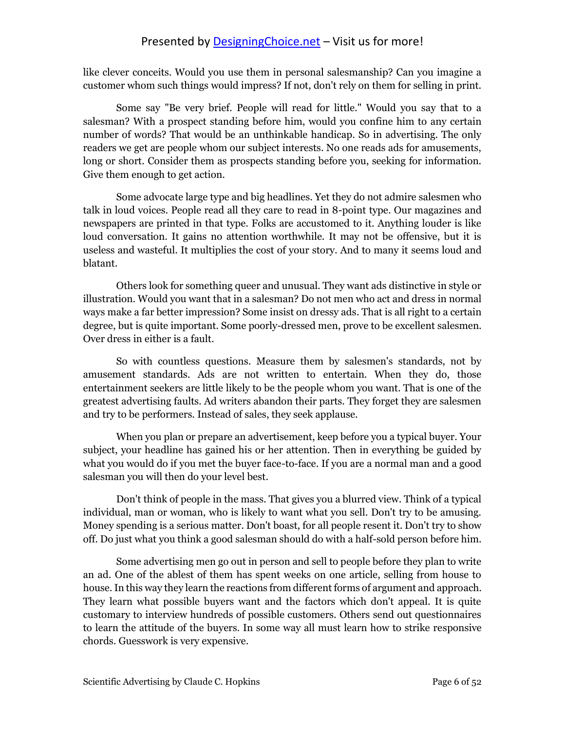like clever conceits. Would you use them in personal salesmanship? Can you imagine a customer whom such things would impress? If not, don't rely on them for selling in print.

Some say "Be very brief. People will read for little." Would you say that to a salesman? With a prospect standing before him, would you confine him to any certain number of words? That would be an unthinkable handicap. So in advertising. The only readers we get are people whom our subject interests. No one reads ads for amusements, long or short. Consider them as prospects standing before you, seeking for information. Give them enough to get action.

Some advocate large type and big headlines. Yet they do not admire salesmen who talk in loud voices. People read all they care to read in 8-point type. Our magazines and newspapers are printed in that type. Folks are accustomed to it. Anything louder is like loud conversation. It gains no attention worthwhile. It may not be offensive, but it is useless and wasteful. It multiplies the cost of your story. And to many it seems loud and blatant.

Others look for something queer and unusual. They want ads distinctive in style or illustration. Would you want that in a salesman? Do not men who act and dress in normal ways make a far better impression? Some insist on dressy ads. That is all right to a certain degree, but is quite important. Some poorly-dressed men, prove to be excellent salesmen. Over dress in either is a fault.

So with countless questions. Measure them by salesmen's standards, not by amusement standards. Ads are not written to entertain. When they do, those entertainment seekers are little likely to be the people whom you want. That is one of the greatest advertising faults. Ad writers abandon their parts. They forget they are salesmen and try to be performers. Instead of sales, they seek applause.

When you plan or prepare an advertisement, keep before you a typical buyer. Your subject, your headline has gained his or her attention. Then in everything be guided by what you would do if you met the buyer face-to-face. If you are a normal man and a good salesman you will then do your level best.

Don't think of people in the mass. That gives you a blurred view. Think of a typical individual, man or woman, who is likely to want what you sell. Don't try to be amusing. Money spending is a serious matter. Don't boast, for all people resent it. Don't try to show off. Do just what you think a good salesman should do with a half-sold person before him.

Some advertising men go out in person and sell to people before they plan to write an ad. One of the ablest of them has spent weeks on one article, selling from house to house. In this way they learn the reactions from different forms of argument and approach. They learn what possible buyers want and the factors which don't appeal. It is quite customary to interview hundreds of possible customers. Others send out questionnaires to learn the attitude of the buyers. In some way all must learn how to strike responsive chords. Guesswork is very expensive.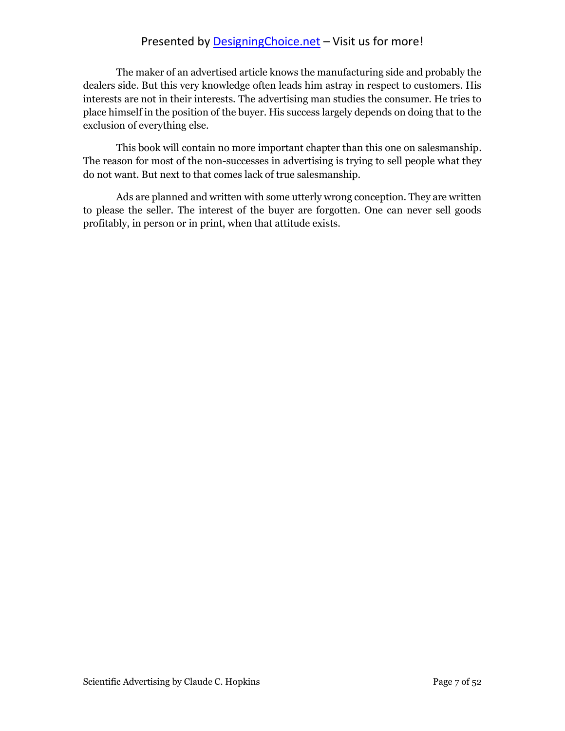The maker of an advertised article knows the manufacturing side and probably the dealers side. But this very knowledge often leads him astray in respect to customers. His interests are not in their interests. The advertising man studies the consumer. He tries to place himself in the position of the buyer. His success largely depends on doing that to the exclusion of everything else.

This book will contain no more important chapter than this one on salesmanship. The reason for most of the non-successes in advertising is trying to sell people what they do not want. But next to that comes lack of true salesmanship.

Ads are planned and written with some utterly wrong conception. They are written to please the seller. The interest of the buyer are forgotten. One can never sell goods profitably, in person or in print, when that attitude exists.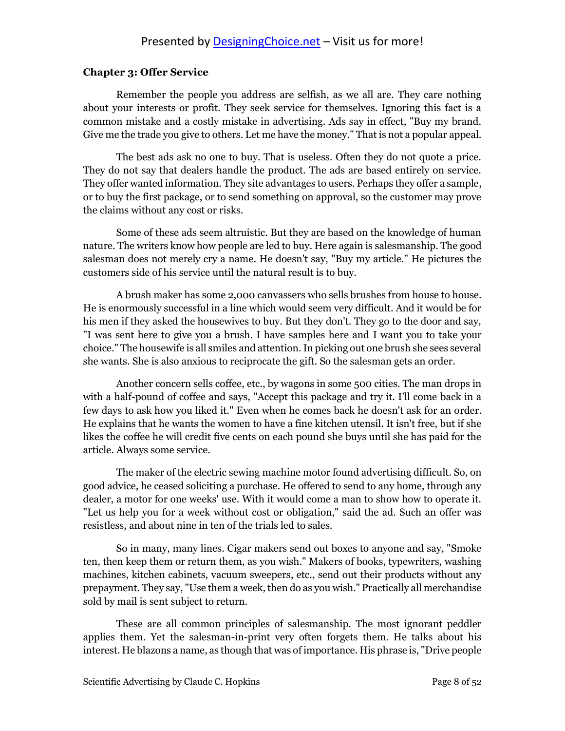#### **Chapter 3: Offer Service**

Remember the people you address are selfish, as we all are. They care nothing about your interests or profit. They seek service for themselves. Ignoring this fact is a common mistake and a costly mistake in advertising. Ads say in effect, "Buy my brand. Give me the trade you give to others. Let me have the money." That is not a popular appeal.

The best ads ask no one to buy. That is useless. Often they do not quote a price. They do not say that dealers handle the product. The ads are based entirely on service. They offer wanted information. They site advantages to users. Perhaps they offer a sample, or to buy the first package, or to send something on approval, so the customer may prove the claims without any cost or risks.

Some of these ads seem altruistic. But they are based on the knowledge of human nature. The writers know how people are led to buy. Here again is salesmanship. The good salesman does not merely cry a name. He doesn't say, "Buy my article." He pictures the customers side of his service until the natural result is to buy.

A brush maker has some 2,000 canvassers who sells brushes from house to house. He is enormously successful in a line which would seem very difficult. And it would be for his men if they asked the housewives to buy. But they don't. They go to the door and say, "I was sent here to give you a brush. I have samples here and I want you to take your choice." The housewife is all smiles and attention. In picking out one brush she sees several she wants. She is also anxious to reciprocate the gift. So the salesman gets an order.

Another concern sells coffee, etc., by wagons in some 500 cities. The man drops in with a half-pound of coffee and says, "Accept this package and try it. I'll come back in a few days to ask how you liked it." Even when he comes back he doesn't ask for an order. He explains that he wants the women to have a fine kitchen utensil. It isn't free, but if she likes the coffee he will credit five cents on each pound she buys until she has paid for the article. Always some service.

The maker of the electric sewing machine motor found advertising difficult. So, on good advice, he ceased soliciting a purchase. He offered to send to any home, through any dealer, a motor for one weeks' use. With it would come a man to show how to operate it. "Let us help you for a week without cost or obligation," said the ad. Such an offer was resistless, and about nine in ten of the trials led to sales.

So in many, many lines. Cigar makers send out boxes to anyone and say, "Smoke ten, then keep them or return them, as you wish." Makers of books, typewriters, washing machines, kitchen cabinets, vacuum sweepers, etc., send out their products without any prepayment. They say, "Use them a week, then do as you wish." Practically all merchandise sold by mail is sent subject to return.

These are all common principles of salesmanship. The most ignorant peddler applies them. Yet the salesman-in-print very often forgets them. He talks about his interest. He blazons a name, as though that was of importance. His phrase is, "Drive people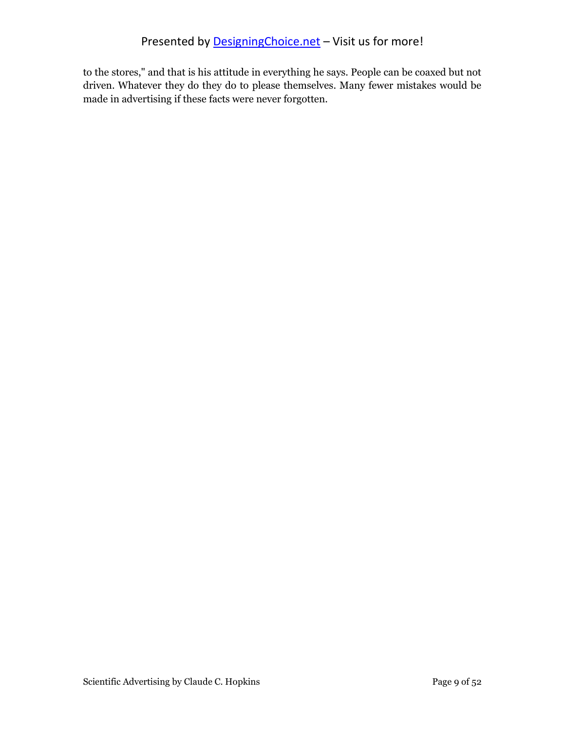to the stores," and that is his attitude in everything he says. People can be coaxed but not driven. Whatever they do they do to please themselves. Many fewer mistakes would be made in advertising if these facts were never forgotten.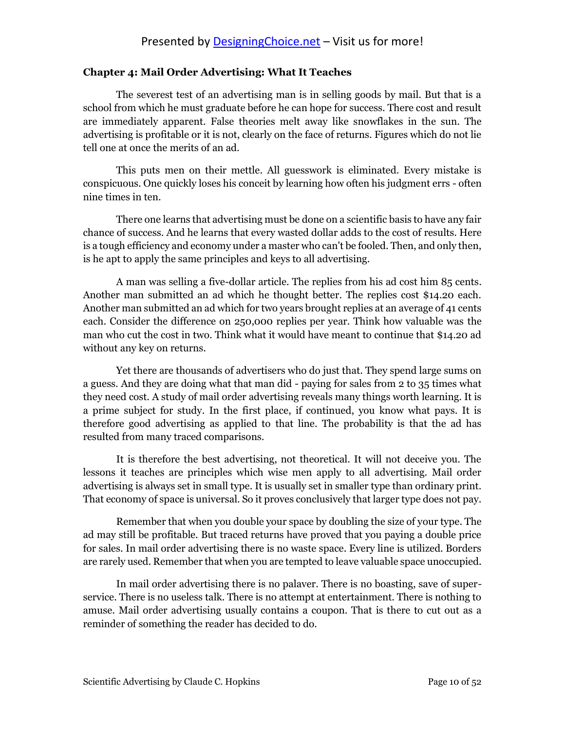#### **Chapter 4: Mail Order Advertising: What It Teaches**

The severest test of an advertising man is in selling goods by mail. But that is a school from which he must graduate before he can hope for success. There cost and result are immediately apparent. False theories melt away like snowflakes in the sun. The advertising is profitable or it is not, clearly on the face of returns. Figures which do not lie tell one at once the merits of an ad.

This puts men on their mettle. All guesswork is eliminated. Every mistake is conspicuous. One quickly loses his conceit by learning how often his judgment errs - often nine times in ten.

There one learns that advertising must be done on a scientific basis to have any fair chance of success. And he learns that every wasted dollar adds to the cost of results. Here is a tough efficiency and economy under a master who can't be fooled. Then, and only then, is he apt to apply the same principles and keys to all advertising.

A man was selling a five-dollar article. The replies from his ad cost him 85 cents. Another man submitted an ad which he thought better. The replies cost \$14.20 each. Another man submitted an ad which for two years brought replies at an average of 41 cents each. Consider the difference on 250,000 replies per year. Think how valuable was the man who cut the cost in two. Think what it would have meant to continue that \$14.20 ad without any key on returns.

Yet there are thousands of advertisers who do just that. They spend large sums on a guess. And they are doing what that man did - paying for sales from 2 to 35 times what they need cost. A study of mail order advertising reveals many things worth learning. It is a prime subject for study. In the first place, if continued, you know what pays. It is therefore good advertising as applied to that line. The probability is that the ad has resulted from many traced comparisons.

It is therefore the best advertising, not theoretical. It will not deceive you. The lessons it teaches are principles which wise men apply to all advertising. Mail order advertising is always set in small type. It is usually set in smaller type than ordinary print. That economy of space is universal. So it proves conclusively that larger type does not pay.

Remember that when you double your space by doubling the size of your type. The ad may still be profitable. But traced returns have proved that you paying a double price for sales. In mail order advertising there is no waste space. Every line is utilized. Borders are rarely used. Remember that when you are tempted to leave valuable space unoccupied.

In mail order advertising there is no palaver. There is no boasting, save of superservice. There is no useless talk. There is no attempt at entertainment. There is nothing to amuse. Mail order advertising usually contains a coupon. That is there to cut out as a reminder of something the reader has decided to do.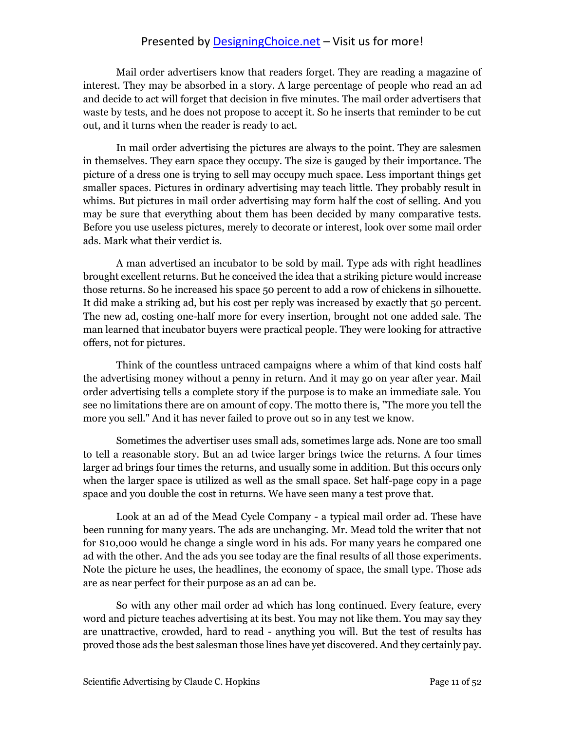Mail order advertisers know that readers forget. They are reading a magazine of interest. They may be absorbed in a story. A large percentage of people who read an ad and decide to act will forget that decision in five minutes. The mail order advertisers that waste by tests, and he does not propose to accept it. So he inserts that reminder to be cut out, and it turns when the reader is ready to act.

In mail order advertising the pictures are always to the point. They are salesmen in themselves. They earn space they occupy. The size is gauged by their importance. The picture of a dress one is trying to sell may occupy much space. Less important things get smaller spaces. Pictures in ordinary advertising may teach little. They probably result in whims. But pictures in mail order advertising may form half the cost of selling. And you may be sure that everything about them has been decided by many comparative tests. Before you use useless pictures, merely to decorate or interest, look over some mail order ads. Mark what their verdict is.

A man advertised an incubator to be sold by mail. Type ads with right headlines brought excellent returns. But he conceived the idea that a striking picture would increase those returns. So he increased his space 50 percent to add a row of chickens in silhouette. It did make a striking ad, but his cost per reply was increased by exactly that 50 percent. The new ad, costing one-half more for every insertion, brought not one added sale. The man learned that incubator buyers were practical people. They were looking for attractive offers, not for pictures.

Think of the countless untraced campaigns where a whim of that kind costs half the advertising money without a penny in return. And it may go on year after year. Mail order advertising tells a complete story if the purpose is to make an immediate sale. You see no limitations there are on amount of copy. The motto there is, "The more you tell the more you sell." And it has never failed to prove out so in any test we know.

Sometimes the advertiser uses small ads, sometimes large ads. None are too small to tell a reasonable story. But an ad twice larger brings twice the returns. A four times larger ad brings four times the returns, and usually some in addition. But this occurs only when the larger space is utilized as well as the small space. Set half-page copy in a page space and you double the cost in returns. We have seen many a test prove that.

Look at an ad of the Mead Cycle Company - a typical mail order ad. These have been running for many years. The ads are unchanging. Mr. Mead told the writer that not for \$10,000 would he change a single word in his ads. For many years he compared one ad with the other. And the ads you see today are the final results of all those experiments. Note the picture he uses, the headlines, the economy of space, the small type. Those ads are as near perfect for their purpose as an ad can be.

So with any other mail order ad which has long continued. Every feature, every word and picture teaches advertising at its best. You may not like them. You may say they are unattractive, crowded, hard to read - anything you will. But the test of results has proved those ads the best salesman those lines have yet discovered. And they certainly pay.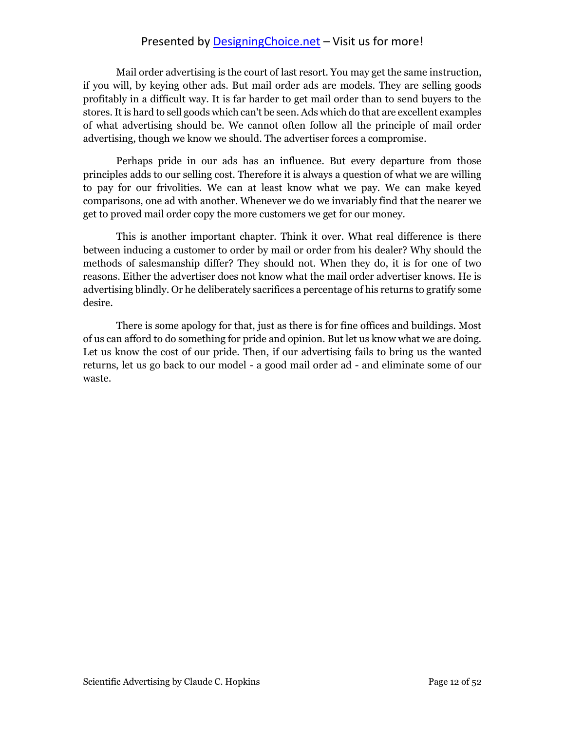Mail order advertising is the court of last resort. You may get the same instruction, if you will, by keying other ads. But mail order ads are models. They are selling goods profitably in a difficult way. It is far harder to get mail order than to send buyers to the stores. It is hard to sell goods which can't be seen. Ads which do that are excellent examples of what advertising should be. We cannot often follow all the principle of mail order advertising, though we know we should. The advertiser forces a compromise.

Perhaps pride in our ads has an influence. But every departure from those principles adds to our selling cost. Therefore it is always a question of what we are willing to pay for our frivolities. We can at least know what we pay. We can make keyed comparisons, one ad with another. Whenever we do we invariably find that the nearer we get to proved mail order copy the more customers we get for our money.

This is another important chapter. Think it over. What real difference is there between inducing a customer to order by mail or order from his dealer? Why should the methods of salesmanship differ? They should not. When they do, it is for one of two reasons. Either the advertiser does not know what the mail order advertiser knows. He is advertising blindly. Or he deliberately sacrifices a percentage of his returns to gratify some desire.

There is some apology for that, just as there is for fine offices and buildings. Most of us can afford to do something for pride and opinion. But let us know what we are doing. Let us know the cost of our pride. Then, if our advertising fails to bring us the wanted returns, let us go back to our model - a good mail order ad - and eliminate some of our waste.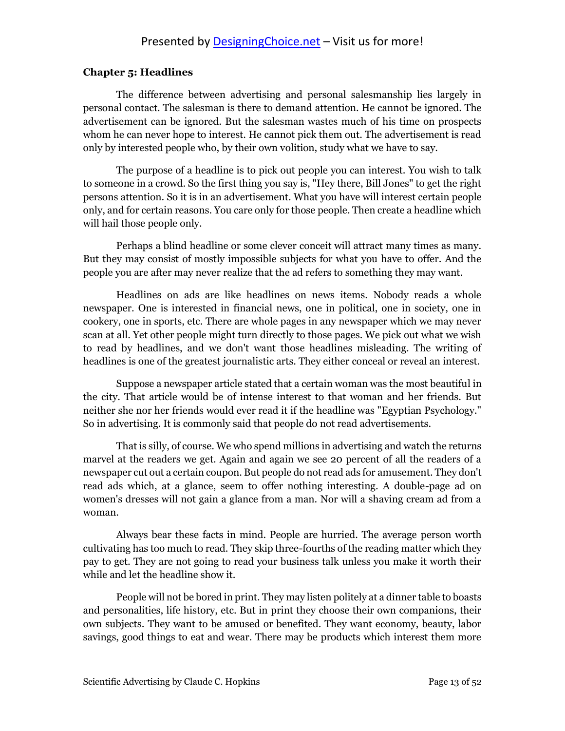#### **Chapter 5: Headlines**

The difference between advertising and personal salesmanship lies largely in personal contact. The salesman is there to demand attention. He cannot be ignored. The advertisement can be ignored. But the salesman wastes much of his time on prospects whom he can never hope to interest. He cannot pick them out. The advertisement is read only by interested people who, by their own volition, study what we have to say.

The purpose of a headline is to pick out people you can interest. You wish to talk to someone in a crowd. So the first thing you say is, "Hey there, Bill Jones" to get the right persons attention. So it is in an advertisement. What you have will interest certain people only, and for certain reasons. You care only for those people. Then create a headline which will hail those people only.

Perhaps a blind headline or some clever conceit will attract many times as many. But they may consist of mostly impossible subjects for what you have to offer. And the people you are after may never realize that the ad refers to something they may want.

Headlines on ads are like headlines on news items. Nobody reads a whole newspaper. One is interested in financial news, one in political, one in society, one in cookery, one in sports, etc. There are whole pages in any newspaper which we may never scan at all. Yet other people might turn directly to those pages. We pick out what we wish to read by headlines, and we don't want those headlines misleading. The writing of headlines is one of the greatest journalistic arts. They either conceal or reveal an interest.

Suppose a newspaper article stated that a certain woman was the most beautiful in the city. That article would be of intense interest to that woman and her friends. But neither she nor her friends would ever read it if the headline was "Egyptian Psychology." So in advertising. It is commonly said that people do not read advertisements.

That is silly, of course. We who spend millions in advertising and watch the returns marvel at the readers we get. Again and again we see 20 percent of all the readers of a newspaper cut out a certain coupon. But people do not read ads for amusement. They don't read ads which, at a glance, seem to offer nothing interesting. A double-page ad on women's dresses will not gain a glance from a man. Nor will a shaving cream ad from a woman.

Always bear these facts in mind. People are hurried. The average person worth cultivating has too much to read. They skip three-fourths of the reading matter which they pay to get. They are not going to read your business talk unless you make it worth their while and let the headline show it.

People will not be bored in print. They may listen politely at a dinner table to boasts and personalities, life history, etc. But in print they choose their own companions, their own subjects. They want to be amused or benefited. They want economy, beauty, labor savings, good things to eat and wear. There may be products which interest them more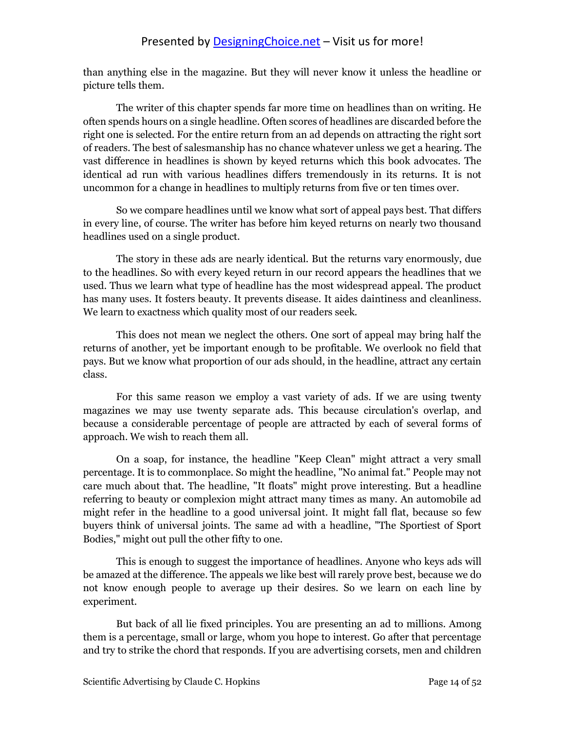than anything else in the magazine. But they will never know it unless the headline or picture tells them.

The writer of this chapter spends far more time on headlines than on writing. He often spends hours on a single headline. Often scores of headlines are discarded before the right one is selected. For the entire return from an ad depends on attracting the right sort of readers. The best of salesmanship has no chance whatever unless we get a hearing. The vast difference in headlines is shown by keyed returns which this book advocates. The identical ad run with various headlines differs tremendously in its returns. It is not uncommon for a change in headlines to multiply returns from five or ten times over.

So we compare headlines until we know what sort of appeal pays best. That differs in every line, of course. The writer has before him keyed returns on nearly two thousand headlines used on a single product.

The story in these ads are nearly identical. But the returns vary enormously, due to the headlines. So with every keyed return in our record appears the headlines that we used. Thus we learn what type of headline has the most widespread appeal. The product has many uses. It fosters beauty. It prevents disease. It aides daintiness and cleanliness. We learn to exactness which quality most of our readers seek.

This does not mean we neglect the others. One sort of appeal may bring half the returns of another, yet be important enough to be profitable. We overlook no field that pays. But we know what proportion of our ads should, in the headline, attract any certain class.

For this same reason we employ a vast variety of ads. If we are using twenty magazines we may use twenty separate ads. This because circulation's overlap, and because a considerable percentage of people are attracted by each of several forms of approach. We wish to reach them all.

On a soap, for instance, the headline "Keep Clean" might attract a very small percentage. It is to commonplace. So might the headline, "No animal fat." People may not care much about that. The headline, "It floats" might prove interesting. But a headline referring to beauty or complexion might attract many times as many. An automobile ad might refer in the headline to a good universal joint. It might fall flat, because so few buyers think of universal joints. The same ad with a headline, "The Sportiest of Sport Bodies," might out pull the other fifty to one.

This is enough to suggest the importance of headlines. Anyone who keys ads will be amazed at the difference. The appeals we like best will rarely prove best, because we do not know enough people to average up their desires. So we learn on each line by experiment.

But back of all lie fixed principles. You are presenting an ad to millions. Among them is a percentage, small or large, whom you hope to interest. Go after that percentage and try to strike the chord that responds. If you are advertising corsets, men and children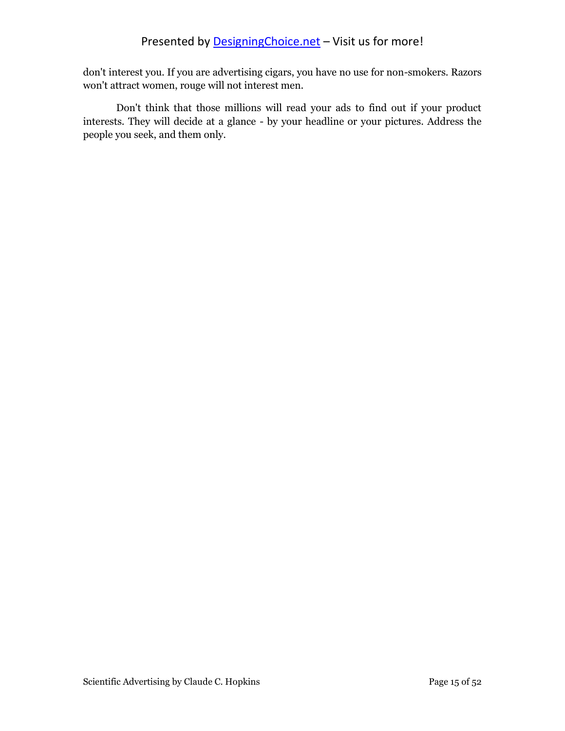don't interest you. If you are advertising cigars, you have no use for non-smokers. Razors won't attract women, rouge will not interest men.

Don't think that those millions will read your ads to find out if your product interests. They will decide at a glance - by your headline or your pictures. Address the people you seek, and them only.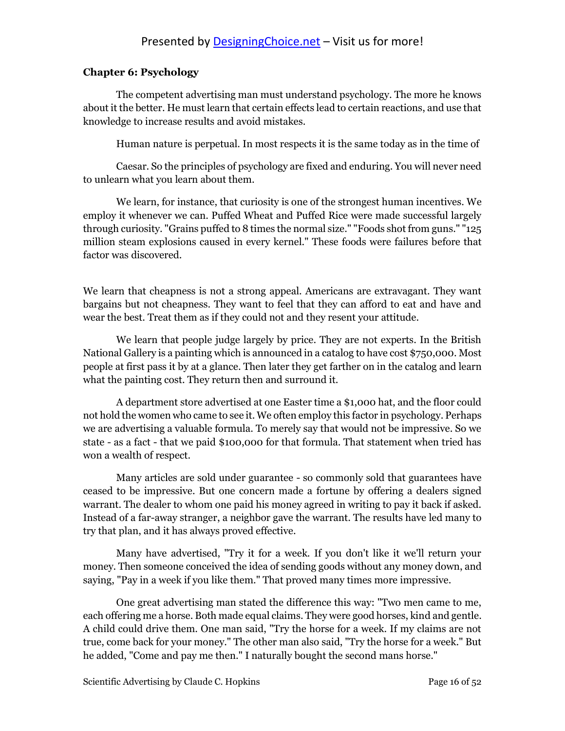#### **Chapter 6: Psychology**

The competent advertising man must understand psychology. The more he knows about it the better. He must learn that certain effects lead to certain reactions, and use that knowledge to increase results and avoid mistakes.

Human nature is perpetual. In most respects it is the same today as in the time of

Caesar. So the principles of psychology are fixed and enduring. You will never need to unlearn what you learn about them.

We learn, for instance, that curiosity is one of the strongest human incentives. We employ it whenever we can. Puffed Wheat and Puffed Rice were made successful largely through curiosity. "Grains puffed to 8 times the normal size." "Foods shot from guns." "125 million steam explosions caused in every kernel." These foods were failures before that factor was discovered.

We learn that cheapness is not a strong appeal. Americans are extravagant. They want bargains but not cheapness. They want to feel that they can afford to eat and have and wear the best. Treat them as if they could not and they resent your attitude.

We learn that people judge largely by price. They are not experts. In the British National Gallery is a painting which is announced in a catalog to have cost \$750,000. Most people at first pass it by at a glance. Then later they get farther on in the catalog and learn what the painting cost. They return then and surround it.

A department store advertised at one Easter time a \$1,000 hat, and the floor could not hold the women who came to see it. We often employ this factor in psychology. Perhaps we are advertising a valuable formula. To merely say that would not be impressive. So we state - as a fact - that we paid \$100,000 for that formula. That statement when tried has won a wealth of respect.

Many articles are sold under guarantee - so commonly sold that guarantees have ceased to be impressive. But one concern made a fortune by offering a dealers signed warrant. The dealer to whom one paid his money agreed in writing to pay it back if asked. Instead of a far-away stranger, a neighbor gave the warrant. The results have led many to try that plan, and it has always proved effective.

Many have advertised, "Try it for a week. If you don't like it we'll return your money. Then someone conceived the idea of sending goods without any money down, and saying, "Pay in a week if you like them." That proved many times more impressive.

One great advertising man stated the difference this way: "Two men came to me, each offering me a horse. Both made equal claims. They were good horses, kind and gentle. A child could drive them. One man said, "Try the horse for a week. If my claims are not true, come back for your money." The other man also said, "Try the horse for a week." But he added, "Come and pay me then." I naturally bought the second mans horse."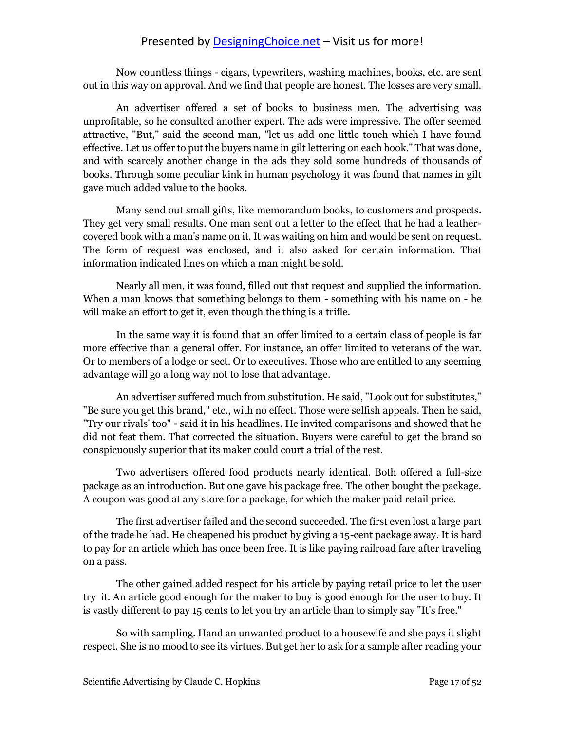Now countless things - cigars, typewriters, washing machines, books, etc. are sent out in this way on approval. And we find that people are honest. The losses are very small.

An advertiser offered a set of books to business men. The advertising was unprofitable, so he consulted another expert. The ads were impressive. The offer seemed attractive, "But," said the second man, "let us add one little touch which I have found effective. Let us offer to put the buyers name in gilt lettering on each book." That was done, and with scarcely another change in the ads they sold some hundreds of thousands of books. Through some peculiar kink in human psychology it was found that names in gilt gave much added value to the books.

Many send out small gifts, like memorandum books, to customers and prospects. They get very small results. One man sent out a letter to the effect that he had a leathercovered book with a man's name on it. It was waiting on him and would be sent on request. The form of request was enclosed, and it also asked for certain information. That information indicated lines on which a man might be sold.

Nearly all men, it was found, filled out that request and supplied the information. When a man knows that something belongs to them - something with his name on - he will make an effort to get it, even though the thing is a trifle.

In the same way it is found that an offer limited to a certain class of people is far more effective than a general offer. For instance, an offer limited to veterans of the war. Or to members of a lodge or sect. Or to executives. Those who are entitled to any seeming advantage will go a long way not to lose that advantage.

An advertiser suffered much from substitution. He said, "Look out for substitutes," "Be sure you get this brand," etc., with no effect. Those were selfish appeals. Then he said, "Try our rivals' too" - said it in his headlines. He invited comparisons and showed that he did not feat them. That corrected the situation. Buyers were careful to get the brand so conspicuously superior that its maker could court a trial of the rest.

Two advertisers offered food products nearly identical. Both offered a full-size package as an introduction. But one gave his package free. The other bought the package. A coupon was good at any store for a package, for which the maker paid retail price.

The first advertiser failed and the second succeeded. The first even lost a large part of the trade he had. He cheapened his product by giving a 15-cent package away. It is hard to pay for an article which has once been free. It is like paying railroad fare after traveling on a pass.

The other gained added respect for his article by paying retail price to let the user try it. An article good enough for the maker to buy is good enough for the user to buy. It is vastly different to pay 15 cents to let you try an article than to simply say "It's free."

So with sampling. Hand an unwanted product to a housewife and she pays it slight respect. She is no mood to see its virtues. But get her to ask for a sample after reading your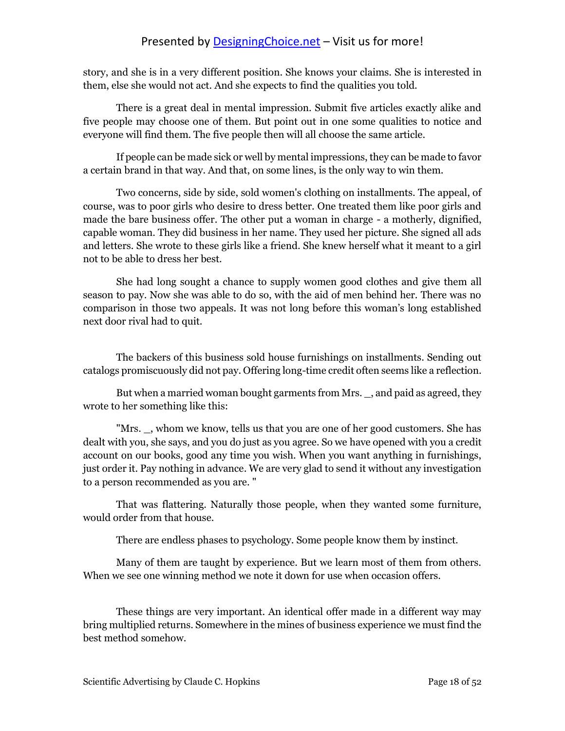story, and she is in a very different position. She knows your claims. She is interested in them, else she would not act. And she expects to find the qualities you told.

There is a great deal in mental impression. Submit five articles exactly alike and five people may choose one of them. But point out in one some qualities to notice and everyone will find them. The five people then will all choose the same article.

If people can be made sick or well by mental impressions, they can be made to favor a certain brand in that way. And that, on some lines, is the only way to win them.

Two concerns, side by side, sold women's clothing on installments. The appeal, of course, was to poor girls who desire to dress better. One treated them like poor girls and made the bare business offer. The other put a woman in charge - a motherly, dignified, capable woman. They did business in her name. They used her picture. She signed all ads and letters. She wrote to these girls like a friend. She knew herself what it meant to a girl not to be able to dress her best.

She had long sought a chance to supply women good clothes and give them all season to pay. Now she was able to do so, with the aid of men behind her. There was no comparison in those two appeals. It was not long before this woman's long established next door rival had to quit.

The backers of this business sold house furnishings on installments. Sending out catalogs promiscuously did not pay. Offering long-time credit often seems like a reflection.

But when a married woman bought garments from Mrs. \_, and paid as agreed, they wrote to her something like this:

"Mrs. \_, whom we know, tells us that you are one of her good customers. She has dealt with you, she says, and you do just as you agree. So we have opened with you a credit account on our books, good any time you wish. When you want anything in furnishings, just order it. Pay nothing in advance. We are very glad to send it without any investigation to a person recommended as you are. "

That was flattering. Naturally those people, when they wanted some furniture, would order from that house.

There are endless phases to psychology. Some people know them by instinct.

Many of them are taught by experience. But we learn most of them from others. When we see one winning method we note it down for use when occasion offers.

These things are very important. An identical offer made in a different way may bring multiplied returns. Somewhere in the mines of business experience we must find the best method somehow.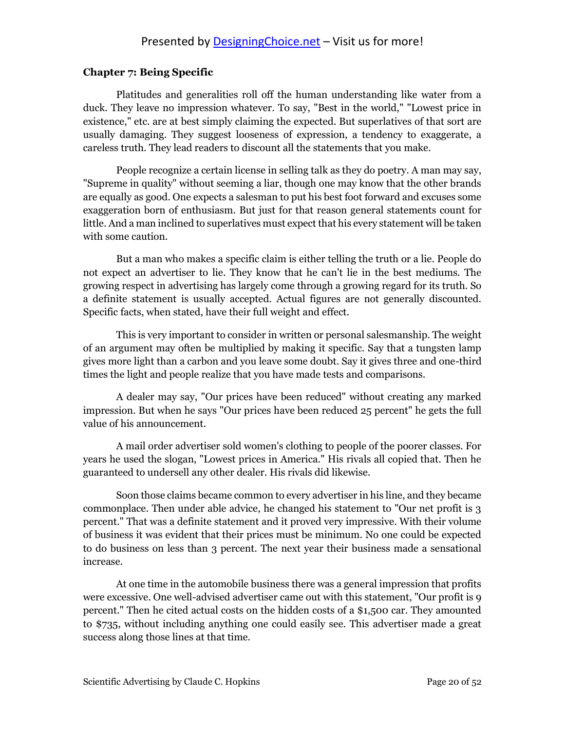#### **Chapter 7: Being Specific**

Platitudes and generalities roll off the human understanding like water from a duck. They leave no impression whatever. To say, "Best in the world," "Lowest price in existence," etc. are at best simply claiming the expected. But superlatives of that sort are usually damaging. They suggest looseness of expression, a tendency to exaggerate, a careless truth. They lead readers to discount all the statements that you make.

People recognize a certain license in selling talk as they do poetry. A man may say, "Supreme in quality" without seeming a liar, though one may know that the other brands are equally as good. One expects a salesman to put his best foot forward and excuses some exaggeration born of enthusiasm. But just for that reason general statements count for little. And a man inclined to superlatives must expect that his every statement will be taken with some caution.

But a man who makes a specific claim is either telling the truth or a lie. People do not expect an advertiser to lie. They know that he can't lie in the best mediums. The growing respect in advertising has largely come through a growing regard for its truth. So a definite statement is usually accepted. Actual figures are not generally discounted. Specific facts, when stated, have their full weight and effect.

This is very important to consider in written or personal salesmanship. The weight of an argument may often be multiplied by making it specific. Say that a tungsten lamp gives more light than a carbon and you leave some doubt. Say it gives three and one-third times the light and people realize that you have made tests and comparisons.

A dealer may say, "Our prices have been reduced" without creating any marked impression. But when he says "Our prices have been reduced 25 percent" he gets the full value of his announcement.

A mail order advertiser sold women's clothing to people of the poorer classes. For years he used the slogan, "Lowest prices in America." His rivals all copied that. Then he guaranteed to undersell any other dealer. His rivals did likewise.

Soon those claims became common to every advertiser in his line, and they became commonplace. Then under able advice, he changed his statement to "Our net profit is 3 percent." That was a definite statement and it proved very impressive. With their volume of business it was evident that their prices must be minimum. No one could be expected to do business on less than 3 percent. The next year their business made a sensational increase.

At one time in the automobile business there was a general impression that profits were excessive. One well-advised advertiser came out with this statement, "Our profit is 9 percent." Then he cited actual costs on the hidden costs of a \$1,500 car. They amounted to \$735, without including anything one could easily see. This advertiser made a great success along those lines at that time.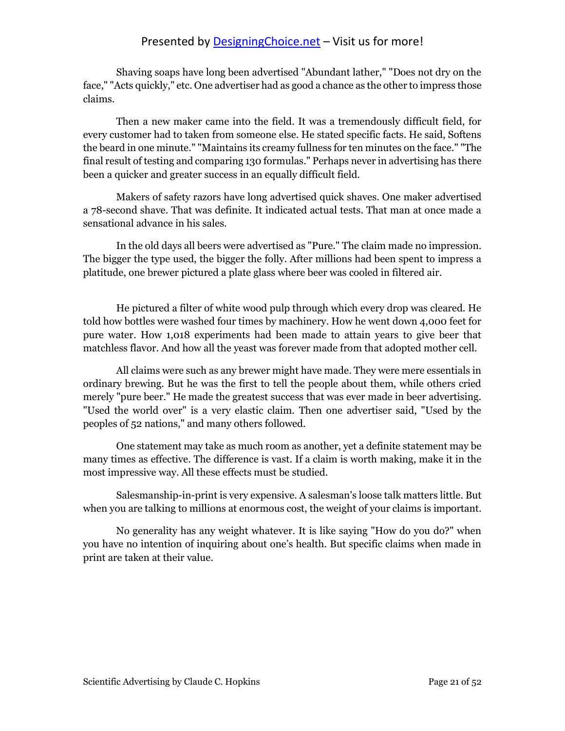Shaving soaps have long been advertised "Abundant lather," "Does not dry on the face," "Acts quickly," etc. One advertiser had as good a chance as the other to impress those claims.

Then a new maker came into the field. It was a tremendously difficult field, for every customer had to taken from someone else. He stated specific facts. He said, Softens the beard in one minute." "Maintains its creamy fullness for ten minutes on the face." "The final result of testing and comparing 130 formulas." Perhaps never in advertising has there been a quicker and greater success in an equally difficult field.

Makers of safety razors have long advertised quick shaves. One maker advertised a 78-second shave. That was definite. It indicated actual tests. That man at once made a sensational advance in his sales.

In the old days all beers were advertised as "Pure." The claim made no impression. The bigger the type used, the bigger the folly. After millions had been spent to impress a platitude, one brewer pictured a plate glass where beer was cooled in filtered air.

He pictured a filter of white wood pulp through which every drop was cleared. He told how bottles were washed four times by machinery. How he went down 4,000 feet for pure water. How 1,018 experiments had been made to attain years to give beer that matchless flavor. And how all the yeast was forever made from that adopted mother cell.

All claims were such as any brewer might have made. They were mere essentials in ordinary brewing. But he was the first to tell the people about them, while others cried merely "pure beer." He made the greatest success that was ever made in beer advertising. "Used the world over" is a very elastic claim. Then one advertiser said, "Used by the peoples of 52 nations," and many others followed.

One statement may take as much room as another, yet a definite statement may be many times as effective. The difference is vast. If a claim is worth making, make it in the most impressive way. All these effects must be studied.

Salesmanship-in-print is very expensive. A salesman's loose talk matters little. But when you are talking to millions at enormous cost, the weight of your claims is important.

No generality has any weight whatever. It is like saying "How do you do?" when you have no intention of inquiring about one's health. But specific claims when made in print are taken at their value.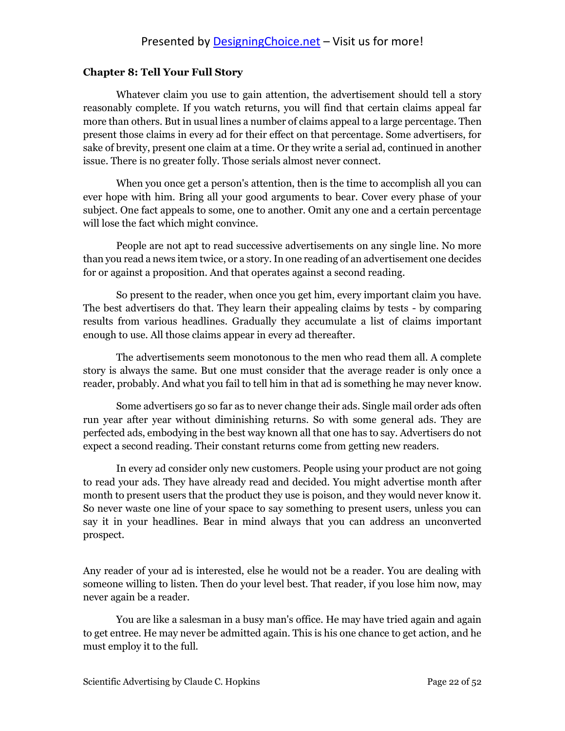#### **Chapter 8: Tell Your Full Story**

Whatever claim you use to gain attention, the advertisement should tell a story reasonably complete. If you watch returns, you will find that certain claims appeal far more than others. But in usual lines a number of claims appeal to a large percentage. Then present those claims in every ad for their effect on that percentage. Some advertisers, for sake of brevity, present one claim at a time. Or they write a serial ad, continued in another issue. There is no greater folly. Those serials almost never connect.

When you once get a person's attention, then is the time to accomplish all you can ever hope with him. Bring all your good arguments to bear. Cover every phase of your subject. One fact appeals to some, one to another. Omit any one and a certain percentage will lose the fact which might convince.

People are not apt to read successive advertisements on any single line. No more than you read a news item twice, or a story. In one reading of an advertisement one decides for or against a proposition. And that operates against a second reading.

So present to the reader, when once you get him, every important claim you have. The best advertisers do that. They learn their appealing claims by tests - by comparing results from various headlines. Gradually they accumulate a list of claims important enough to use. All those claims appear in every ad thereafter.

The advertisements seem monotonous to the men who read them all. A complete story is always the same. But one must consider that the average reader is only once a reader, probably. And what you fail to tell him in that ad is something he may never know.

Some advertisers go so far as to never change their ads. Single mail order ads often run year after year without diminishing returns. So with some general ads. They are perfected ads, embodying in the best way known all that one has to say. Advertisers do not expect a second reading. Their constant returns come from getting new readers.

In every ad consider only new customers. People using your product are not going to read your ads. They have already read and decided. You might advertise month after month to present users that the product they use is poison, and they would never know it. So never waste one line of your space to say something to present users, unless you can say it in your headlines. Bear in mind always that you can address an unconverted prospect.

Any reader of your ad is interested, else he would not be a reader. You are dealing with someone willing to listen. Then do your level best. That reader, if you lose him now, may never again be a reader.

You are like a salesman in a busy man's office. He may have tried again and again to get entree. He may never be admitted again. This is his one chance to get action, and he must employ it to the full.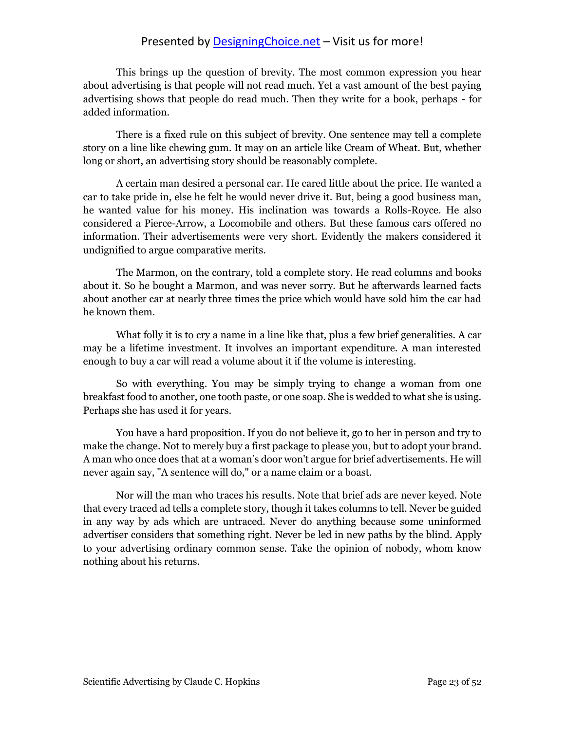This brings up the question of brevity. The most common expression you hear about advertising is that people will not read much. Yet a vast amount of the best paying advertising shows that people do read much. Then they write for a book, perhaps - for added information.

There is a fixed rule on this subject of brevity. One sentence may tell a complete story on a line like chewing gum. It may on an article like Cream of Wheat. But, whether long or short, an advertising story should be reasonably complete.

A certain man desired a personal car. He cared little about the price. He wanted a car to take pride in, else he felt he would never drive it. But, being a good business man, he wanted value for his money. His inclination was towards a Rolls-Royce. He also considered a Pierce-Arrow, a Locomobile and others. But these famous cars offered no information. Their advertisements were very short. Evidently the makers considered it undignified to argue comparative merits.

The Marmon, on the contrary, told a complete story. He read columns and books about it. So he bought a Marmon, and was never sorry. But he afterwards learned facts about another car at nearly three times the price which would have sold him the car had he known them.

What folly it is to cry a name in a line like that, plus a few brief generalities. A car may be a lifetime investment. It involves an important expenditure. A man interested enough to buy a car will read a volume about it if the volume is interesting.

So with everything. You may be simply trying to change a woman from one breakfast food to another, one tooth paste, or one soap. She is wedded to what she is using. Perhaps she has used it for years.

You have a hard proposition. If you do not believe it, go to her in person and try to make the change. Not to merely buy a first package to please you, but to adopt your brand. A man who once does that at a woman's door won't argue for brief advertisements. He will never again say, "A sentence will do," or a name claim or a boast.

Nor will the man who traces his results. Note that brief ads are never keyed. Note that every traced ad tells a complete story, though it takes columns to tell. Never be guided in any way by ads which are untraced. Never do anything because some uninformed advertiser considers that something right. Never be led in new paths by the blind. Apply to your advertising ordinary common sense. Take the opinion of nobody, whom know nothing about his returns.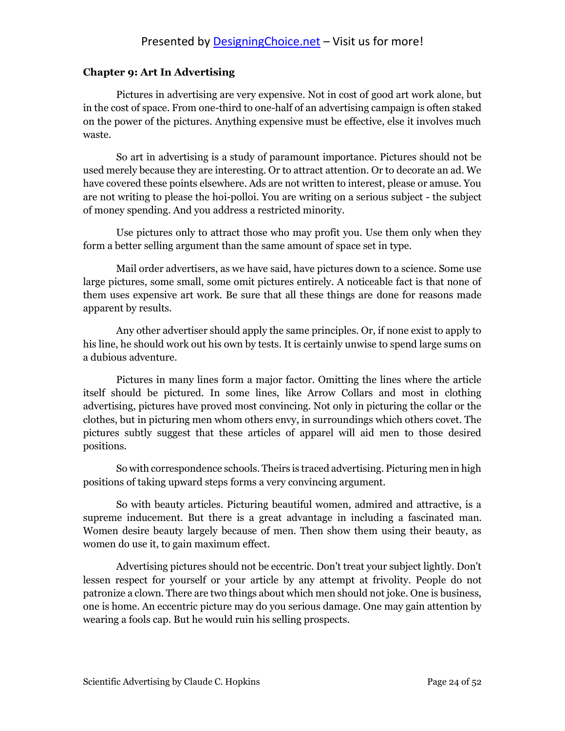#### **Chapter 9: Art In Advertising**

Pictures in advertising are very expensive. Not in cost of good art work alone, but in the cost of space. From one-third to one-half of an advertising campaign is often staked on the power of the pictures. Anything expensive must be effective, else it involves much waste.

So art in advertising is a study of paramount importance. Pictures should not be used merely because they are interesting. Or to attract attention. Or to decorate an ad. We have covered these points elsewhere. Ads are not written to interest, please or amuse. You are not writing to please the hoi-polloi. You are writing on a serious subject - the subject of money spending. And you address a restricted minority.

Use pictures only to attract those who may profit you. Use them only when they form a better selling argument than the same amount of space set in type.

Mail order advertisers, as we have said, have pictures down to a science. Some use large pictures, some small, some omit pictures entirely. A noticeable fact is that none of them uses expensive art work. Be sure that all these things are done for reasons made apparent by results.

Any other advertiser should apply the same principles. Or, if none exist to apply to his line, he should work out his own by tests. It is certainly unwise to spend large sums on a dubious adventure.

Pictures in many lines form a major factor. Omitting the lines where the article itself should be pictured. In some lines, like Arrow Collars and most in clothing advertising, pictures have proved most convincing. Not only in picturing the collar or the clothes, but in picturing men whom others envy, in surroundings which others covet. The pictures subtly suggest that these articles of apparel will aid men to those desired positions.

So with correspondence schools. Theirs is traced advertising. Picturing men in high positions of taking upward steps forms a very convincing argument.

So with beauty articles. Picturing beautiful women, admired and attractive, is a supreme inducement. But there is a great advantage in including a fascinated man. Women desire beauty largely because of men. Then show them using their beauty, as women do use it, to gain maximum effect.

Advertising pictures should not be eccentric. Don't treat your subject lightly. Don't lessen respect for yourself or your article by any attempt at frivolity. People do not patronize a clown. There are two things about which men should not joke. One is business, one is home. An eccentric picture may do you serious damage. One may gain attention by wearing a fools cap. But he would ruin his selling prospects.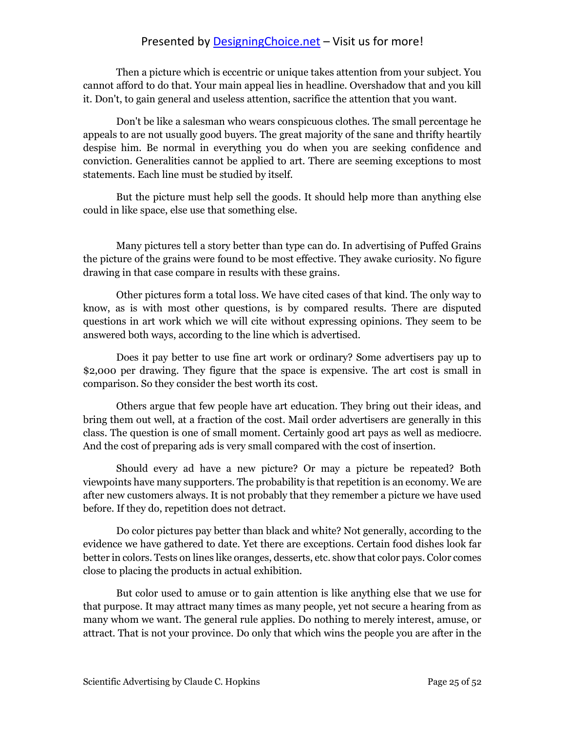Then a picture which is eccentric or unique takes attention from your subject. You cannot afford to do that. Your main appeal lies in headline. Overshadow that and you kill it. Don't, to gain general and useless attention, sacrifice the attention that you want.

Don't be like a salesman who wears conspicuous clothes. The small percentage he appeals to are not usually good buyers. The great majority of the sane and thrifty heartily despise him. Be normal in everything you do when you are seeking confidence and conviction. Generalities cannot be applied to art. There are seeming exceptions to most statements. Each line must be studied by itself.

But the picture must help sell the goods. It should help more than anything else could in like space, else use that something else.

Many pictures tell a story better than type can do. In advertising of Puffed Grains the picture of the grains were found to be most effective. They awake curiosity. No figure drawing in that case compare in results with these grains.

Other pictures form a total loss. We have cited cases of that kind. The only way to know, as is with most other questions, is by compared results. There are disputed questions in art work which we will cite without expressing opinions. They seem to be answered both ways, according to the line which is advertised.

Does it pay better to use fine art work or ordinary? Some advertisers pay up to \$2,000 per drawing. They figure that the space is expensive. The art cost is small in comparison. So they consider the best worth its cost.

Others argue that few people have art education. They bring out their ideas, and bring them out well, at a fraction of the cost. Mail order advertisers are generally in this class. The question is one of small moment. Certainly good art pays as well as mediocre. And the cost of preparing ads is very small compared with the cost of insertion.

Should every ad have a new picture? Or may a picture be repeated? Both viewpoints have many supporters. The probability is that repetition is an economy. We are after new customers always. It is not probably that they remember a picture we have used before. If they do, repetition does not detract.

Do color pictures pay better than black and white? Not generally, according to the evidence we have gathered to date. Yet there are exceptions. Certain food dishes look far better in colors. Tests on lines like oranges, desserts, etc. show that color pays. Color comes close to placing the products in actual exhibition.

But color used to amuse or to gain attention is like anything else that we use for that purpose. It may attract many times as many people, yet not secure a hearing from as many whom we want. The general rule applies. Do nothing to merely interest, amuse, or attract. That is not your province. Do only that which wins the people you are after in the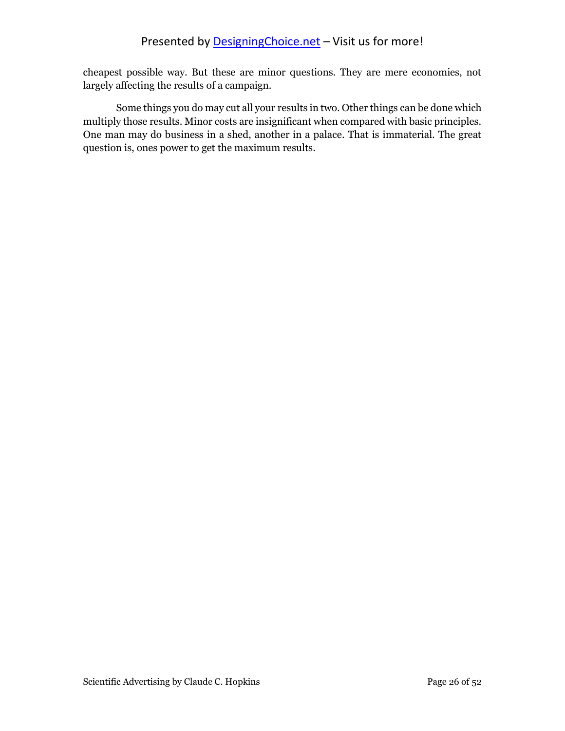cheapest possible way. But these are minor questions. They are mere economies, not largely affecting the results of a campaign.

Some things you do may cut all your results in two. Other things can be done which multiply those results. Minor costs are insignificant when compared with basic principles. One man may do business in a shed, another in a palace. That is immaterial. The great question is, ones power to get the maximum results.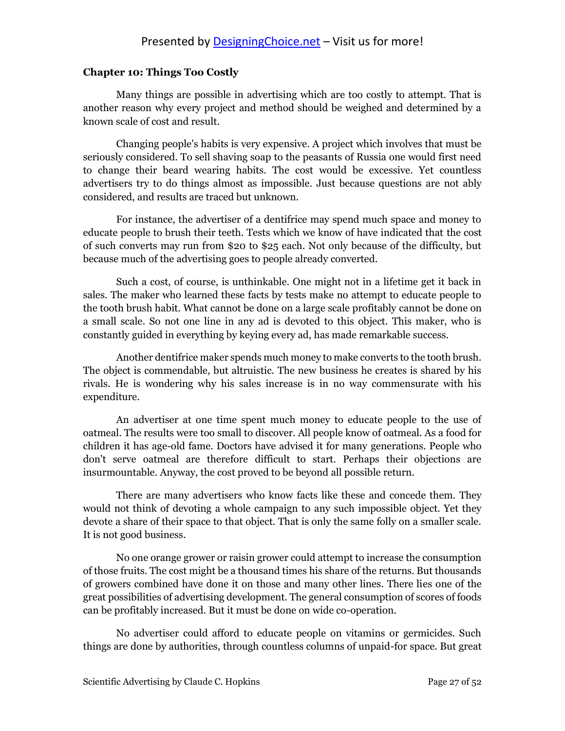#### **Chapter 10: Things Too Costly**

Many things are possible in advertising which are too costly to attempt. That is another reason why every project and method should be weighed and determined by a known scale of cost and result.

Changing people's habits is very expensive. A project which involves that must be seriously considered. To sell shaving soap to the peasants of Russia one would first need to change their beard wearing habits. The cost would be excessive. Yet countless advertisers try to do things almost as impossible. Just because questions are not ably considered, and results are traced but unknown.

For instance, the advertiser of a dentifrice may spend much space and money to educate people to brush their teeth. Tests which we know of have indicated that the cost of such converts may run from \$20 to \$25 each. Not only because of the difficulty, but because much of the advertising goes to people already converted.

Such a cost, of course, is unthinkable. One might not in a lifetime get it back in sales. The maker who learned these facts by tests make no attempt to educate people to the tooth brush habit. What cannot be done on a large scale profitably cannot be done on a small scale. So not one line in any ad is devoted to this object. This maker, who is constantly guided in everything by keying every ad, has made remarkable success.

Another dentifrice maker spends much money to make converts to the tooth brush. The object is commendable, but altruistic. The new business he creates is shared by his rivals. He is wondering why his sales increase is in no way commensurate with his expenditure.

An advertiser at one time spent much money to educate people to the use of oatmeal. The results were too small to discover. All people know of oatmeal. As a food for children it has age-old fame. Doctors have advised it for many generations. People who don't serve oatmeal are therefore difficult to start. Perhaps their objections are insurmountable. Anyway, the cost proved to be beyond all possible return.

There are many advertisers who know facts like these and concede them. They would not think of devoting a whole campaign to any such impossible object. Yet they devote a share of their space to that object. That is only the same folly on a smaller scale. It is not good business.

No one orange grower or raisin grower could attempt to increase the consumption of those fruits. The cost might be a thousand times his share of the returns. But thousands of growers combined have done it on those and many other lines. There lies one of the great possibilities of advertising development. The general consumption of scores of foods can be profitably increased. But it must be done on wide co-operation.

No advertiser could afford to educate people on vitamins or germicides. Such things are done by authorities, through countless columns of unpaid-for space. But great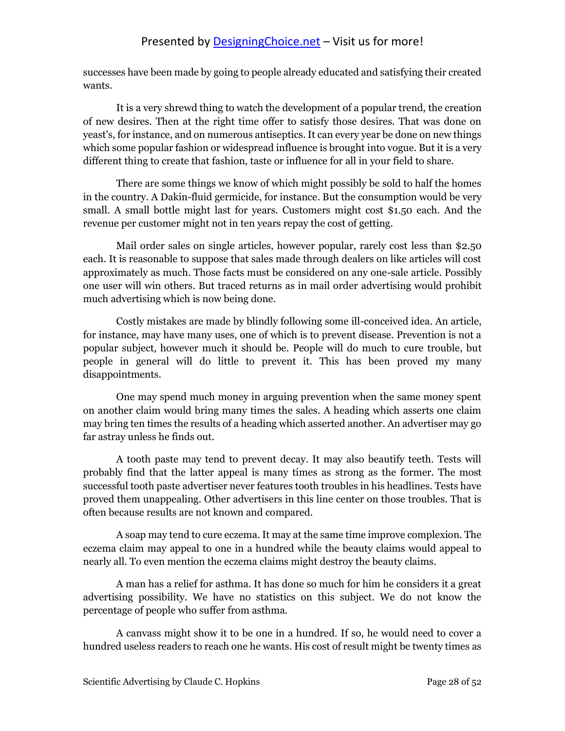successes have been made by going to people already educated and satisfying their created wants.

It is a very shrewd thing to watch the development of a popular trend, the creation of new desires. Then at the right time offer to satisfy those desires. That was done on yeast's, for instance, and on numerous antiseptics. It can every year be done on new things which some popular fashion or widespread influence is brought into vogue. But it is a very different thing to create that fashion, taste or influence for all in your field to share.

There are some things we know of which might possibly be sold to half the homes in the country. A Dakin-fluid germicide, for instance. But the consumption would be very small. A small bottle might last for years. Customers might cost \$1.50 each. And the revenue per customer might not in ten years repay the cost of getting.

Mail order sales on single articles, however popular, rarely cost less than \$2.50 each. It is reasonable to suppose that sales made through dealers on like articles will cost approximately as much. Those facts must be considered on any one-sale article. Possibly one user will win others. But traced returns as in mail order advertising would prohibit much advertising which is now being done.

Costly mistakes are made by blindly following some ill-conceived idea. An article, for instance, may have many uses, one of which is to prevent disease. Prevention is not a popular subject, however much it should be. People will do much to cure trouble, but people in general will do little to prevent it. This has been proved my many disappointments.

One may spend much money in arguing prevention when the same money spent on another claim would bring many times the sales. A heading which asserts one claim may bring ten times the results of a heading which asserted another. An advertiser may go far astray unless he finds out.

A tooth paste may tend to prevent decay. It may also beautify teeth. Tests will probably find that the latter appeal is many times as strong as the former. The most successful tooth paste advertiser never features tooth troubles in his headlines. Tests have proved them unappealing. Other advertisers in this line center on those troubles. That is often because results are not known and compared.

A soap may tend to cure eczema. It may at the same time improve complexion. The eczema claim may appeal to one in a hundred while the beauty claims would appeal to nearly all. To even mention the eczema claims might destroy the beauty claims.

A man has a relief for asthma. It has done so much for him he considers it a great advertising possibility. We have no statistics on this subject. We do not know the percentage of people who suffer from asthma.

A canvass might show it to be one in a hundred. If so, he would need to cover a hundred useless readers to reach one he wants. His cost of result might be twenty times as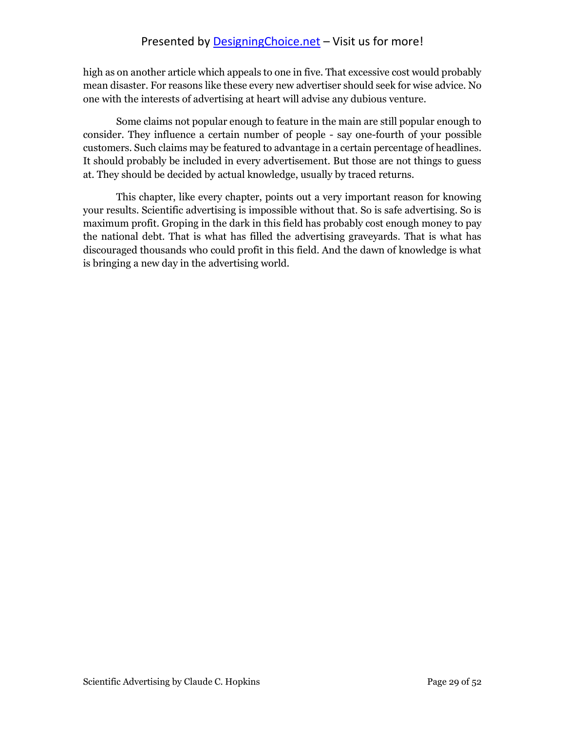high as on another article which appeals to one in five. That excessive cost would probably mean disaster. For reasons like these every new advertiser should seek for wise advice. No one with the interests of advertising at heart will advise any dubious venture.

Some claims not popular enough to feature in the main are still popular enough to consider. They influence a certain number of people - say one-fourth of your possible customers. Such claims may be featured to advantage in a certain percentage of headlines. It should probably be included in every advertisement. But those are not things to guess at. They should be decided by actual knowledge, usually by traced returns.

This chapter, like every chapter, points out a very important reason for knowing your results. Scientific advertising is impossible without that. So is safe advertising. So is maximum profit. Groping in the dark in this field has probably cost enough money to pay the national debt. That is what has filled the advertising graveyards. That is what has discouraged thousands who could profit in this field. And the dawn of knowledge is what is bringing a new day in the advertising world.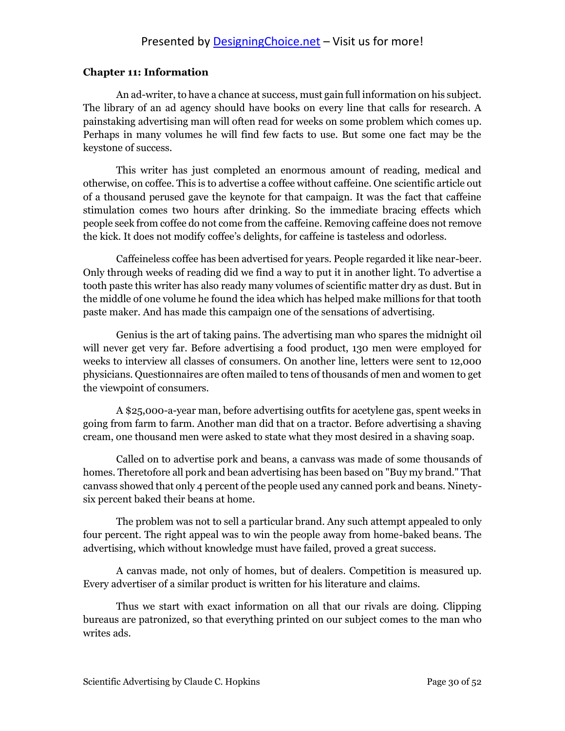#### **Chapter 11: Information**

An ad-writer, to have a chance at success, must gain full information on his subject. The library of an ad agency should have books on every line that calls for research. A painstaking advertising man will often read for weeks on some problem which comes up. Perhaps in many volumes he will find few facts to use. But some one fact may be the keystone of success.

This writer has just completed an enormous amount of reading, medical and otherwise, on coffee. This is to advertise a coffee without caffeine. One scientific article out of a thousand perused gave the keynote for that campaign. It was the fact that caffeine stimulation comes two hours after drinking. So the immediate bracing effects which people seek from coffee do not come from the caffeine. Removing caffeine does not remove the kick. It does not modify coffee's delights, for caffeine is tasteless and odorless.

Caffeineless coffee has been advertised for years. People regarded it like near-beer. Only through weeks of reading did we find a way to put it in another light. To advertise a tooth paste this writer has also ready many volumes of scientific matter dry as dust. But in the middle of one volume he found the idea which has helped make millions for that tooth paste maker. And has made this campaign one of the sensations of advertising.

Genius is the art of taking pains. The advertising man who spares the midnight oil will never get very far. Before advertising a food product, 130 men were employed for weeks to interview all classes of consumers. On another line, letters were sent to 12,000 physicians. Questionnaires are often mailed to tens of thousands of men and women to get the viewpoint of consumers.

A \$25,000-a-year man, before advertising outfits for acetylene gas, spent weeks in going from farm to farm. Another man did that on a tractor. Before advertising a shaving cream, one thousand men were asked to state what they most desired in a shaving soap.

Called on to advertise pork and beans, a canvass was made of some thousands of homes. Theretofore all pork and bean advertising has been based on "Buy my brand." That canvass showed that only 4 percent of the people used any canned pork and beans. Ninetysix percent baked their beans at home.

The problem was not to sell a particular brand. Any such attempt appealed to only four percent. The right appeal was to win the people away from home-baked beans. The advertising, which without knowledge must have failed, proved a great success.

A canvas made, not only of homes, but of dealers. Competition is measured up. Every advertiser of a similar product is written for his literature and claims.

Thus we start with exact information on all that our rivals are doing. Clipping bureaus are patronized, so that everything printed on our subject comes to the man who writes ads.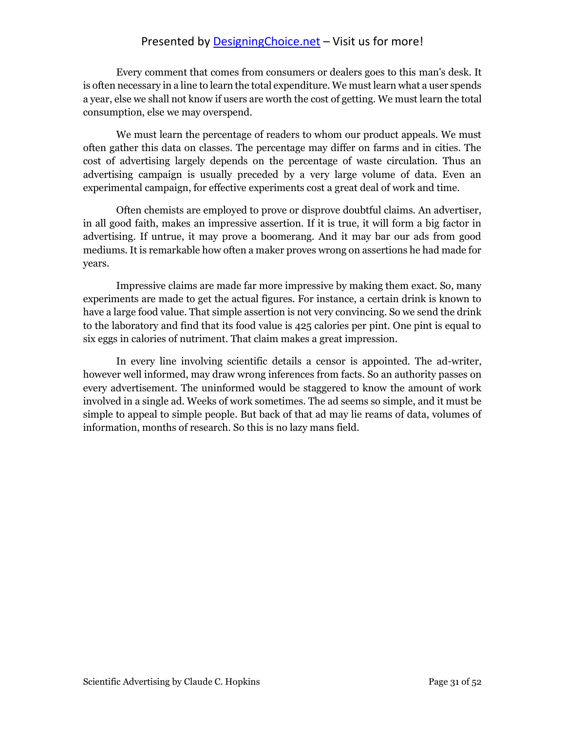Every comment that comes from consumers or dealers goes to this man's desk. It is often necessary in a line to learn the total expenditure. We must learn what a user spends a year, else we shall not know if users are worth the cost of getting. We must learn the total consumption, else we may overspend.

We must learn the percentage of readers to whom our product appeals. We must often gather this data on classes. The percentage may differ on farms and in cities. The cost of advertising largely depends on the percentage of waste circulation. Thus an advertising campaign is usually preceded by a very large volume of data. Even an experimental campaign, for effective experiments cost a great deal of work and time.

Often chemists are employed to prove or disprove doubtful claims. An advertiser, in all good faith, makes an impressive assertion. If it is true, it will form a big factor in advertising. If untrue, it may prove a boomerang. And it may bar our ads from good mediums. It is remarkable how often a maker proves wrong on assertions he had made for years.

Impressive claims are made far more impressive by making them exact. So, many experiments are made to get the actual figures. For instance, a certain drink is known to have a large food value. That simple assertion is not very convincing. So we send the drink to the laboratory and find that its food value is 425 calories per pint. One pint is equal to six eggs in calories of nutriment. That claim makes a great impression.

In every line involving scientific details a censor is appointed. The ad-writer, however well informed, may draw wrong inferences from facts. So an authority passes on every advertisement. The uninformed would be staggered to know the amount of work involved in a single ad. Weeks of work sometimes. The ad seems so simple, and it must be simple to appeal to simple people. But back of that ad may lie reams of data, volumes of information, months of research. So this is no lazy mans field.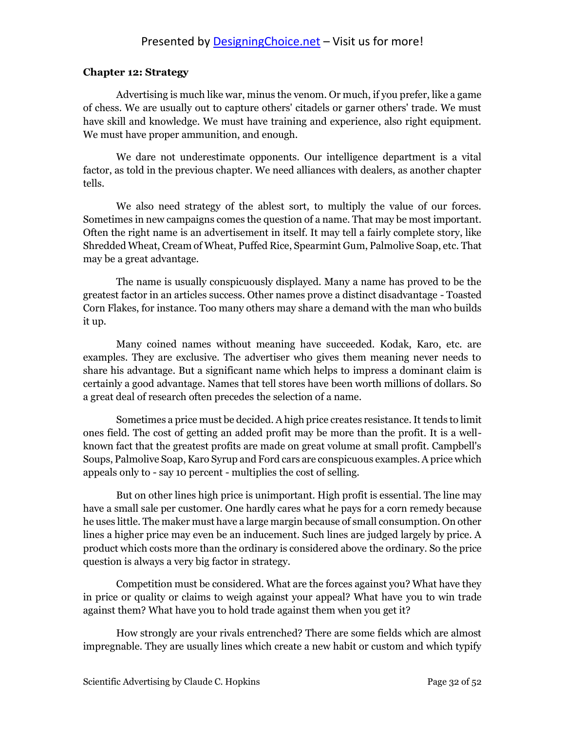#### **Chapter 12: Strategy**

Advertising is much like war, minus the venom. Or much, if you prefer, like a game of chess. We are usually out to capture others' citadels or garner others' trade. We must have skill and knowledge. We must have training and experience, also right equipment. We must have proper ammunition, and enough.

We dare not underestimate opponents. Our intelligence department is a vital factor, as told in the previous chapter. We need alliances with dealers, as another chapter tells.

We also need strategy of the ablest sort, to multiply the value of our forces. Sometimes in new campaigns comes the question of a name. That may be most important. Often the right name is an advertisement in itself. It may tell a fairly complete story, like Shredded Wheat, Cream of Wheat, Puffed Rice, Spearmint Gum, Palmolive Soap, etc. That may be a great advantage.

The name is usually conspicuously displayed. Many a name has proved to be the greatest factor in an articles success. Other names prove a distinct disadvantage - Toasted Corn Flakes, for instance. Too many others may share a demand with the man who builds it up.

Many coined names without meaning have succeeded. Kodak, Karo, etc. are examples. They are exclusive. The advertiser who gives them meaning never needs to share his advantage. But a significant name which helps to impress a dominant claim is certainly a good advantage. Names that tell stores have been worth millions of dollars. So a great deal of research often precedes the selection of a name.

Sometimes a price must be decided. A high price creates resistance. It tends to limit ones field. The cost of getting an added profit may be more than the profit. It is a wellknown fact that the greatest profits are made on great volume at small profit. Campbell's Soups, Palmolive Soap, Karo Syrup and Ford cars are conspicuous examples. A price which appeals only to - say 10 percent - multiplies the cost of selling.

But on other lines high price is unimportant. High profit is essential. The line may have a small sale per customer. One hardly cares what he pays for a corn remedy because he uses little. The maker must have a large margin because of small consumption. On other lines a higher price may even be an inducement. Such lines are judged largely by price. A product which costs more than the ordinary is considered above the ordinary. So the price question is always a very big factor in strategy.

Competition must be considered. What are the forces against you? What have they in price or quality or claims to weigh against your appeal? What have you to win trade against them? What have you to hold trade against them when you get it?

How strongly are your rivals entrenched? There are some fields which are almost impregnable. They are usually lines which create a new habit or custom and which typify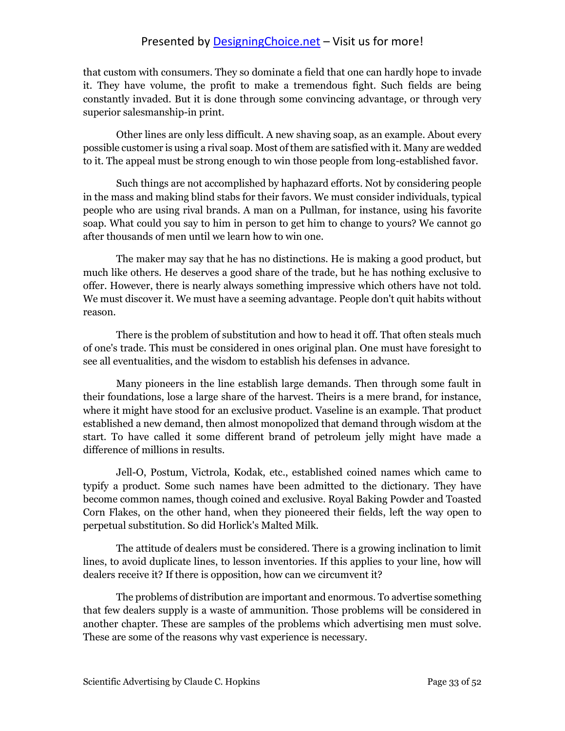that custom with consumers. They so dominate a field that one can hardly hope to invade it. They have volume, the profit to make a tremendous fight. Such fields are being constantly invaded. But it is done through some convincing advantage, or through very superior salesmanship-in print.

Other lines are only less difficult. A new shaving soap, as an example. About every possible customer is using a rival soap. Most of them are satisfied with it. Many are wedded to it. The appeal must be strong enough to win those people from long-established favor.

Such things are not accomplished by haphazard efforts. Not by considering people in the mass and making blind stabs for their favors. We must consider individuals, typical people who are using rival brands. A man on a Pullman, for instance, using his favorite soap. What could you say to him in person to get him to change to yours? We cannot go after thousands of men until we learn how to win one.

The maker may say that he has no distinctions. He is making a good product, but much like others. He deserves a good share of the trade, but he has nothing exclusive to offer. However, there is nearly always something impressive which others have not told. We must discover it. We must have a seeming advantage. People don't quit habits without reason.

There is the problem of substitution and how to head it off. That often steals much of one's trade. This must be considered in ones original plan. One must have foresight to see all eventualities, and the wisdom to establish his defenses in advance.

Many pioneers in the line establish large demands. Then through some fault in their foundations, lose a large share of the harvest. Theirs is a mere brand, for instance, where it might have stood for an exclusive product. Vaseline is an example. That product established a new demand, then almost monopolized that demand through wisdom at the start. To have called it some different brand of petroleum jelly might have made a difference of millions in results.

Jell-O, Postum, Victrola, Kodak, etc., established coined names which came to typify a product. Some such names have been admitted to the dictionary. They have become common names, though coined and exclusive. Royal Baking Powder and Toasted Corn Flakes, on the other hand, when they pioneered their fields, left the way open to perpetual substitution. So did Horlick's Malted Milk.

The attitude of dealers must be considered. There is a growing inclination to limit lines, to avoid duplicate lines, to lesson inventories. If this applies to your line, how will dealers receive it? If there is opposition, how can we circumvent it?

The problems of distribution are important and enormous. To advertise something that few dealers supply is a waste of ammunition. Those problems will be considered in another chapter. These are samples of the problems which advertising men must solve. These are some of the reasons why vast experience is necessary.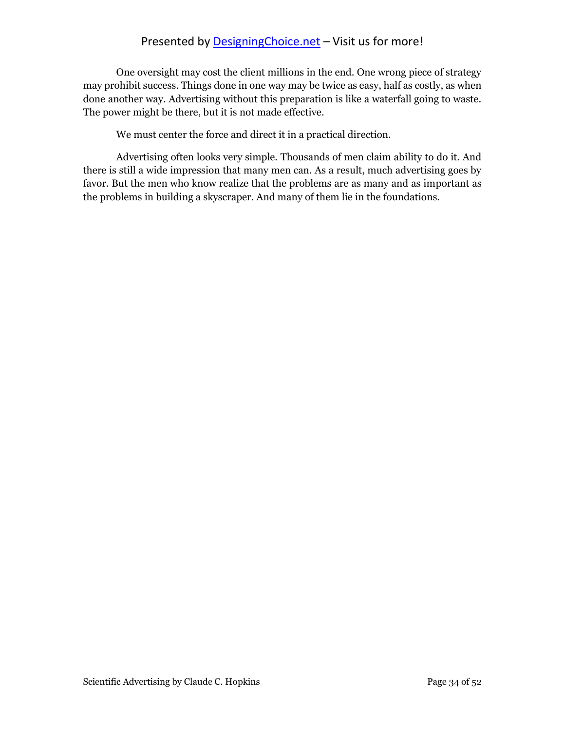One oversight may cost the client millions in the end. One wrong piece of strategy may prohibit success. Things done in one way may be twice as easy, half as costly, as when done another way. Advertising without this preparation is like a waterfall going to waste. The power might be there, but it is not made effective.

We must center the force and direct it in a practical direction.

Advertising often looks very simple. Thousands of men claim ability to do it. And there is still a wide impression that many men can. As a result, much advertising goes by favor. But the men who know realize that the problems are as many and as important as the problems in building a skyscraper. And many of them lie in the foundations.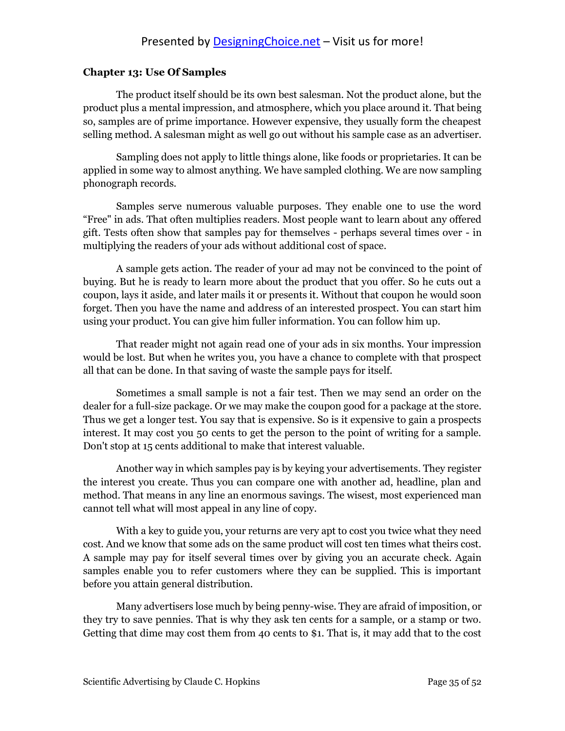#### **Chapter 13: Use Of Samples**

The product itself should be its own best salesman. Not the product alone, but the product plus a mental impression, and atmosphere, which you place around it. That being so, samples are of prime importance. However expensive, they usually form the cheapest selling method. A salesman might as well go out without his sample case as an advertiser.

Sampling does not apply to little things alone, like foods or proprietaries. It can be applied in some way to almost anything. We have sampled clothing. We are now sampling phonograph records.

Samples serve numerous valuable purposes. They enable one to use the word "Free" in ads. That often multiplies readers. Most people want to learn about any offered gift. Tests often show that samples pay for themselves - perhaps several times over - in multiplying the readers of your ads without additional cost of space.

A sample gets action. The reader of your ad may not be convinced to the point of buying. But he is ready to learn more about the product that you offer. So he cuts out a coupon, lays it aside, and later mails it or presents it. Without that coupon he would soon forget. Then you have the name and address of an interested prospect. You can start him using your product. You can give him fuller information. You can follow him up.

That reader might not again read one of your ads in six months. Your impression would be lost. But when he writes you, you have a chance to complete with that prospect all that can be done. In that saving of waste the sample pays for itself.

Sometimes a small sample is not a fair test. Then we may send an order on the dealer for a full-size package. Or we may make the coupon good for a package at the store. Thus we get a longer test. You say that is expensive. So is it expensive to gain a prospects interest. It may cost you 50 cents to get the person to the point of writing for a sample. Don't stop at 15 cents additional to make that interest valuable.

Another way in which samples pay is by keying your advertisements. They register the interest you create. Thus you can compare one with another ad, headline, plan and method. That means in any line an enormous savings. The wisest, most experienced man cannot tell what will most appeal in any line of copy.

With a key to guide you, your returns are very apt to cost you twice what they need cost. And we know that some ads on the same product will cost ten times what theirs cost. A sample may pay for itself several times over by giving you an accurate check. Again samples enable you to refer customers where they can be supplied. This is important before you attain general distribution.

Many advertisers lose much by being penny-wise. They are afraid of imposition, or they try to save pennies. That is why they ask ten cents for a sample, or a stamp or two. Getting that dime may cost them from 40 cents to \$1. That is, it may add that to the cost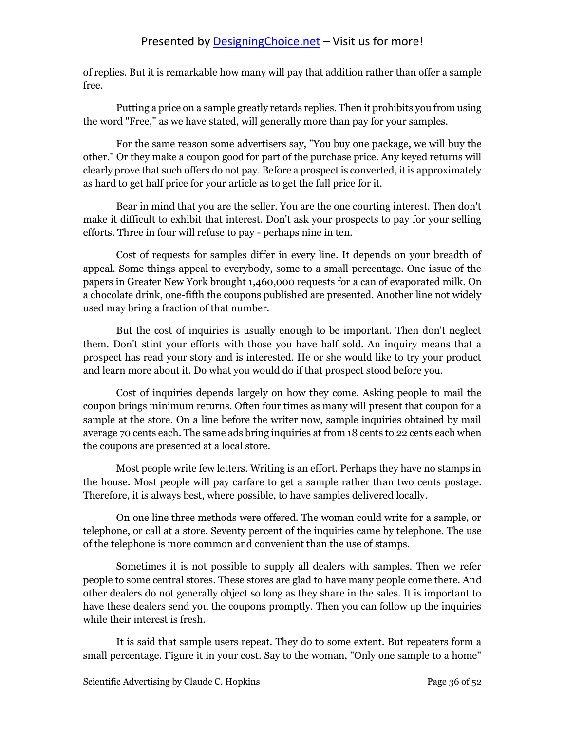of replies. But it is remarkable how many will pay that addition rather than offer a sample free.

Putting a price on a sample greatly retards replies. Then it prohibits you from using the word "Free," as we have stated, will generally more than pay for your samples.

For the same reason some advertisers say, "You buy one package, we will buy the other." Or they make a coupon good for part of the purchase price. Any keyed returns will clearly prove that such offers do not pay. Before a prospect is converted, it is approximately as hard to get half price for your article as to get the full price for it.

Bear in mind that you are the seller. You are the one courting interest. Then don't make it difficult to exhibit that interest. Don't ask your prospects to pay for your selling efforts. Three in four will refuse to pay - perhaps nine in ten.

Cost of requests for samples differ in every line. It depends on your breadth of appeal. Some things appeal to everybody, some to a small percentage. One issue of the papers in Greater New York brought 1,460,000 requests for a can of evaporated milk. On a chocolate drink, one-fifth the coupons published are presented. Another line not widely used may bring a fraction of that number.

But the cost of inquiries is usually enough to be important. Then don't neglect them. Don't stint your efforts with those you have half sold. An inquiry means that a prospect has read your story and is interested. He or she would like to try your product and learn more about it. Do what you would do if that prospect stood before you.

Cost of inquiries depends largely on how they come. Asking people to mail the coupon brings minimum returns. Often four times as many will present that coupon for a sample at the store. On a line before the writer now, sample inquiries obtained by mail average 70 cents each. The same ads bring inquiries at from 18 cents to 22 cents each when the coupons are presented at a local store.

Most people write few letters. Writing is an effort. Perhaps they have no stamps in the house. Most people will pay carfare to get a sample rather than two cents postage. Therefore, it is always best, where possible, to have samples delivered locally.

On one line three methods were offered. The woman could write for a sample, or telephone, or call at a store. Seventy percent of the inquiries came by telephone. The use of the telephone is more common and convenient than the use of stamps.

Sometimes it is not possible to supply all dealers with samples. Then we refer people to some central stores. These stores are glad to have many people come there. And other dealers do not generally object so long as they share in the sales. It is important to have these dealers send you the coupons promptly. Then you can follow up the inquiries while their interest is fresh.

It is said that sample users repeat. They do to some extent. But repeaters form a small percentage. Figure it in your cost. Say to the woman, "Only one sample to a home"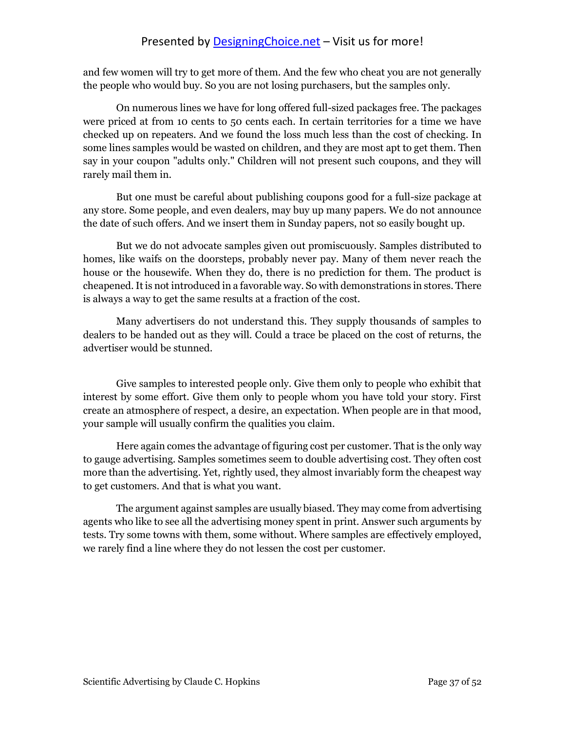and few women will try to get more of them. And the few who cheat you are not generally the people who would buy. So you are not losing purchasers, but the samples only.

On numerous lines we have for long offered full-sized packages free. The packages were priced at from 10 cents to 50 cents each. In certain territories for a time we have checked up on repeaters. And we found the loss much less than the cost of checking. In some lines samples would be wasted on children, and they are most apt to get them. Then say in your coupon "adults only." Children will not present such coupons, and they will rarely mail them in.

But one must be careful about publishing coupons good for a full-size package at any store. Some people, and even dealers, may buy up many papers. We do not announce the date of such offers. And we insert them in Sunday papers, not so easily bought up.

But we do not advocate samples given out promiscuously. Samples distributed to homes, like waifs on the doorsteps, probably never pay. Many of them never reach the house or the housewife. When they do, there is no prediction for them. The product is cheapened. It is not introduced in a favorable way. So with demonstrations in stores. There is always a way to get the same results at a fraction of the cost.

Many advertisers do not understand this. They supply thousands of samples to dealers to be handed out as they will. Could a trace be placed on the cost of returns, the advertiser would be stunned.

Give samples to interested people only. Give them only to people who exhibit that interest by some effort. Give them only to people whom you have told your story. First create an atmosphere of respect, a desire, an expectation. When people are in that mood, your sample will usually confirm the qualities you claim.

Here again comes the advantage of figuring cost per customer. That is the only way to gauge advertising. Samples sometimes seem to double advertising cost. They often cost more than the advertising. Yet, rightly used, they almost invariably form the cheapest way to get customers. And that is what you want.

The argument against samples are usually biased. They may come from advertising agents who like to see all the advertising money spent in print. Answer such arguments by tests. Try some towns with them, some without. Where samples are effectively employed, we rarely find a line where they do not lessen the cost per customer.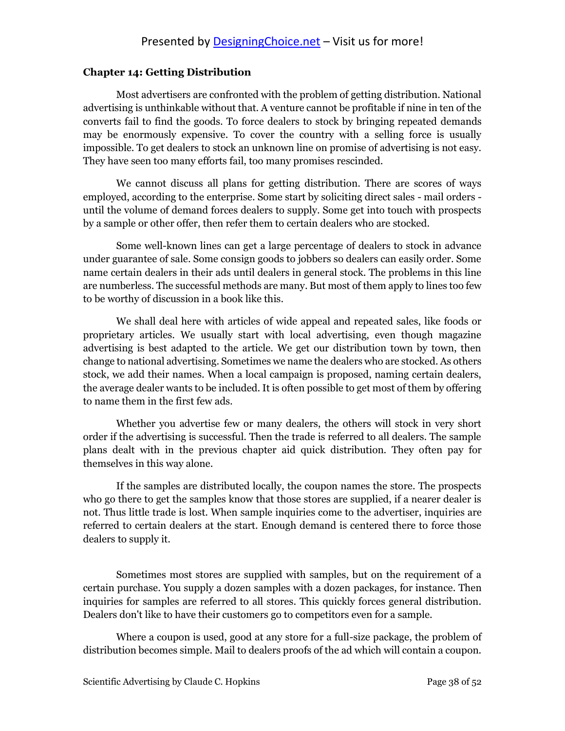#### **Chapter 14: Getting Distribution**

Most advertisers are confronted with the problem of getting distribution. National advertising is unthinkable without that. A venture cannot be profitable if nine in ten of the converts fail to find the goods. To force dealers to stock by bringing repeated demands may be enormously expensive. To cover the country with a selling force is usually impossible. To get dealers to stock an unknown line on promise of advertising is not easy. They have seen too many efforts fail, too many promises rescinded.

We cannot discuss all plans for getting distribution. There are scores of ways employed, according to the enterprise. Some start by soliciting direct sales - mail orders until the volume of demand forces dealers to supply. Some get into touch with prospects by a sample or other offer, then refer them to certain dealers who are stocked.

Some well-known lines can get a large percentage of dealers to stock in advance under guarantee of sale. Some consign goods to jobbers so dealers can easily order. Some name certain dealers in their ads until dealers in general stock. The problems in this line are numberless. The successful methods are many. But most of them apply to lines too few to be worthy of discussion in a book like this.

We shall deal here with articles of wide appeal and repeated sales, like foods or proprietary articles. We usually start with local advertising, even though magazine advertising is best adapted to the article. We get our distribution town by town, then change to national advertising. Sometimes we name the dealers who are stocked. As others stock, we add their names. When a local campaign is proposed, naming certain dealers, the average dealer wants to be included. It is often possible to get most of them by offering to name them in the first few ads.

Whether you advertise few or many dealers, the others will stock in very short order if the advertising is successful. Then the trade is referred to all dealers. The sample plans dealt with in the previous chapter aid quick distribution. They often pay for themselves in this way alone.

If the samples are distributed locally, the coupon names the store. The prospects who go there to get the samples know that those stores are supplied, if a nearer dealer is not. Thus little trade is lost. When sample inquiries come to the advertiser, inquiries are referred to certain dealers at the start. Enough demand is centered there to force those dealers to supply it.

Sometimes most stores are supplied with samples, but on the requirement of a certain purchase. You supply a dozen samples with a dozen packages, for instance. Then inquiries for samples are referred to all stores. This quickly forces general distribution. Dealers don't like to have their customers go to competitors even for a sample.

Where a coupon is used, good at any store for a full-size package, the problem of distribution becomes simple. Mail to dealers proofs of the ad which will contain a coupon.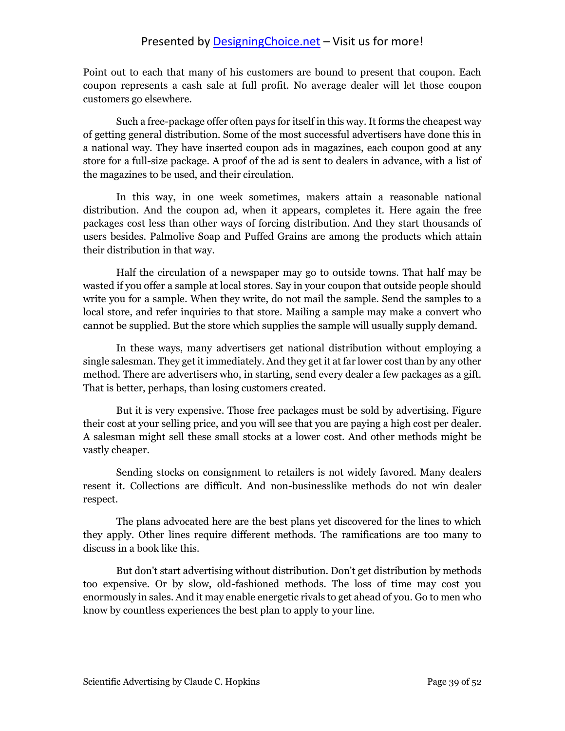Point out to each that many of his customers are bound to present that coupon. Each coupon represents a cash sale at full profit. No average dealer will let those coupon customers go elsewhere.

Such a free-package offer often pays for itself in this way. It forms the cheapest way of getting general distribution. Some of the most successful advertisers have done this in a national way. They have inserted coupon ads in magazines, each coupon good at any store for a full-size package. A proof of the ad is sent to dealers in advance, with a list of the magazines to be used, and their circulation.

In this way, in one week sometimes, makers attain a reasonable national distribution. And the coupon ad, when it appears, completes it. Here again the free packages cost less than other ways of forcing distribution. And they start thousands of users besides. Palmolive Soap and Puffed Grains are among the products which attain their distribution in that way.

Half the circulation of a newspaper may go to outside towns. That half may be wasted if you offer a sample at local stores. Say in your coupon that outside people should write you for a sample. When they write, do not mail the sample. Send the samples to a local store, and refer inquiries to that store. Mailing a sample may make a convert who cannot be supplied. But the store which supplies the sample will usually supply demand.

In these ways, many advertisers get national distribution without employing a single salesman. They get it immediately. And they get it at far lower cost than by any other method. There are advertisers who, in starting, send every dealer a few packages as a gift. That is better, perhaps, than losing customers created.

But it is very expensive. Those free packages must be sold by advertising. Figure their cost at your selling price, and you will see that you are paying a high cost per dealer. A salesman might sell these small stocks at a lower cost. And other methods might be vastly cheaper.

Sending stocks on consignment to retailers is not widely favored. Many dealers resent it. Collections are difficult. And non-businesslike methods do not win dealer respect.

The plans advocated here are the best plans yet discovered for the lines to which they apply. Other lines require different methods. The ramifications are too many to discuss in a book like this.

But don't start advertising without distribution. Don't get distribution by methods too expensive. Or by slow, old-fashioned methods. The loss of time may cost you enormously in sales. And it may enable energetic rivals to get ahead of you. Go to men who know by countless experiences the best plan to apply to your line.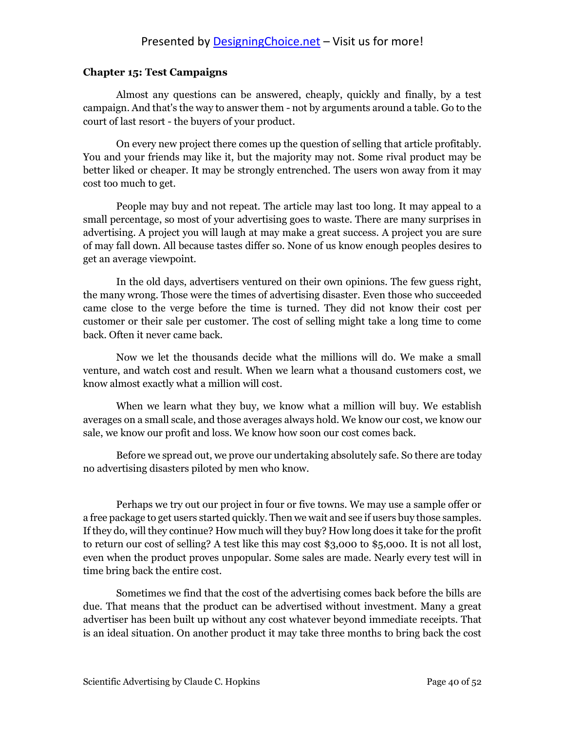#### **Chapter 15: Test Campaigns**

Almost any questions can be answered, cheaply, quickly and finally, by a test campaign. And that's the way to answer them - not by arguments around a table. Go to the court of last resort - the buyers of your product.

On every new project there comes up the question of selling that article profitably. You and your friends may like it, but the majority may not. Some rival product may be better liked or cheaper. It may be strongly entrenched. The users won away from it may cost too much to get.

People may buy and not repeat. The article may last too long. It may appeal to a small percentage, so most of your advertising goes to waste. There are many surprises in advertising. A project you will laugh at may make a great success. A project you are sure of may fall down. All because tastes differ so. None of us know enough peoples desires to get an average viewpoint.

In the old days, advertisers ventured on their own opinions. The few guess right, the many wrong. Those were the times of advertising disaster. Even those who succeeded came close to the verge before the time is turned. They did not know their cost per customer or their sale per customer. The cost of selling might take a long time to come back. Often it never came back.

Now we let the thousands decide what the millions will do. We make a small venture, and watch cost and result. When we learn what a thousand customers cost, we know almost exactly what a million will cost.

When we learn what they buy, we know what a million will buy. We establish averages on a small scale, and those averages always hold. We know our cost, we know our sale, we know our profit and loss. We know how soon our cost comes back.

Before we spread out, we prove our undertaking absolutely safe. So there are today no advertising disasters piloted by men who know.

Perhaps we try out our project in four or five towns. We may use a sample offer or a free package to get users started quickly. Then we wait and see if users buy those samples. If they do, will they continue? How much will they buy? How long does it take for the profit to return our cost of selling? A test like this may cost \$3,000 to \$5,000. It is not all lost, even when the product proves unpopular. Some sales are made. Nearly every test will in time bring back the entire cost.

Sometimes we find that the cost of the advertising comes back before the bills are due. That means that the product can be advertised without investment. Many a great advertiser has been built up without any cost whatever beyond immediate receipts. That is an ideal situation. On another product it may take three months to bring back the cost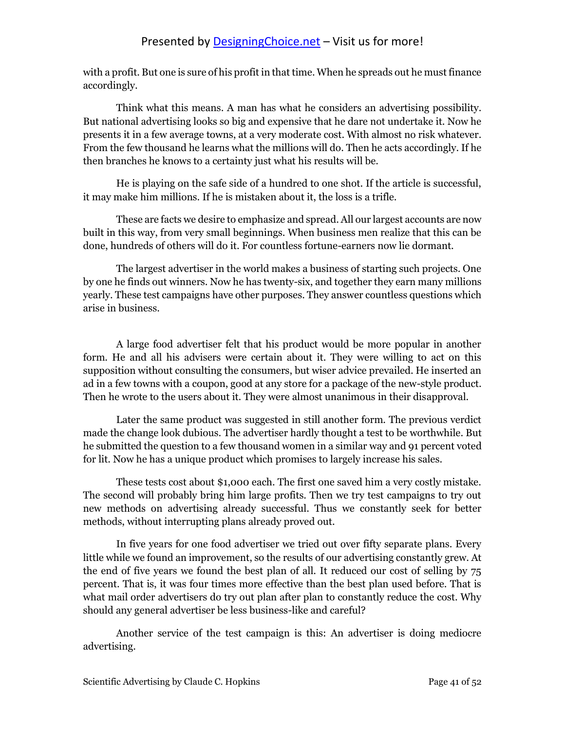with a profit. But one is sure of his profit in that time. When he spreads out he must finance accordingly.

Think what this means. A man has what he considers an advertising possibility. But national advertising looks so big and expensive that he dare not undertake it. Now he presents it in a few average towns, at a very moderate cost. With almost no risk whatever. From the few thousand he learns what the millions will do. Then he acts accordingly. If he then branches he knows to a certainty just what his results will be.

He is playing on the safe side of a hundred to one shot. If the article is successful, it may make him millions. If he is mistaken about it, the loss is a trifle.

These are facts we desire to emphasize and spread. All our largest accounts are now built in this way, from very small beginnings. When business men realize that this can be done, hundreds of others will do it. For countless fortune-earners now lie dormant.

The largest advertiser in the world makes a business of starting such projects. One by one he finds out winners. Now he has twenty-six, and together they earn many millions yearly. These test campaigns have other purposes. They answer countless questions which arise in business.

A large food advertiser felt that his product would be more popular in another form. He and all his advisers were certain about it. They were willing to act on this supposition without consulting the consumers, but wiser advice prevailed. He inserted an ad in a few towns with a coupon, good at any store for a package of the new-style product. Then he wrote to the users about it. They were almost unanimous in their disapproval.

Later the same product was suggested in still another form. The previous verdict made the change look dubious. The advertiser hardly thought a test to be worthwhile. But he submitted the question to a few thousand women in a similar way and 91 percent voted for lit. Now he has a unique product which promises to largely increase his sales.

These tests cost about \$1,000 each. The first one saved him a very costly mistake. The second will probably bring him large profits. Then we try test campaigns to try out new methods on advertising already successful. Thus we constantly seek for better methods, without interrupting plans already proved out.

In five years for one food advertiser we tried out over fifty separate plans. Every little while we found an improvement, so the results of our advertising constantly grew. At the end of five years we found the best plan of all. It reduced our cost of selling by 75 percent. That is, it was four times more effective than the best plan used before. That is what mail order advertisers do try out plan after plan to constantly reduce the cost. Why should any general advertiser be less business-like and careful?

Another service of the test campaign is this: An advertiser is doing mediocre advertising.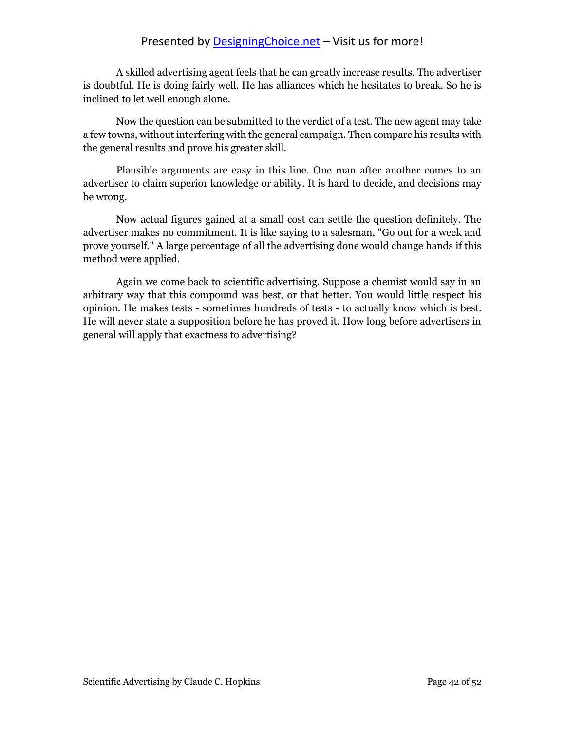A skilled advertising agent feels that he can greatly increase results. The advertiser is doubtful. He is doing fairly well. He has alliances which he hesitates to break. So he is inclined to let well enough alone.

Now the question can be submitted to the verdict of a test. The new agent may take a few towns, without interfering with the general campaign. Then compare his results with the general results and prove his greater skill.

Plausible arguments are easy in this line. One man after another comes to an advertiser to claim superior knowledge or ability. It is hard to decide, and decisions may be wrong.

Now actual figures gained at a small cost can settle the question definitely. The advertiser makes no commitment. It is like saying to a salesman, "Go out for a week and prove yourself." A large percentage of all the advertising done would change hands if this method were applied.

Again we come back to scientific advertising. Suppose a chemist would say in an arbitrary way that this compound was best, or that better. You would little respect his opinion. He makes tests - sometimes hundreds of tests - to actually know which is best. He will never state a supposition before he has proved it. How long before advertisers in general will apply that exactness to advertising?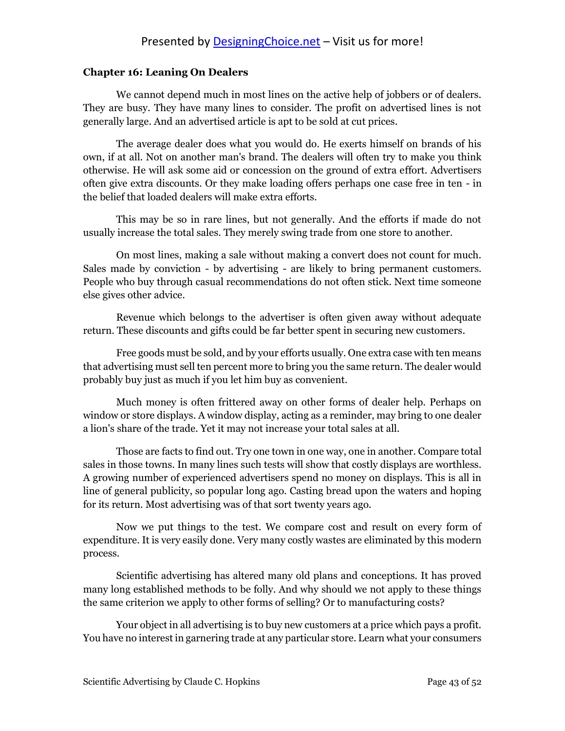#### **Chapter 16: Leaning On Dealers**

We cannot depend much in most lines on the active help of jobbers or of dealers. They are busy. They have many lines to consider. The profit on advertised lines is not generally large. And an advertised article is apt to be sold at cut prices.

The average dealer does what you would do. He exerts himself on brands of his own, if at all. Not on another man's brand. The dealers will often try to make you think otherwise. He will ask some aid or concession on the ground of extra effort. Advertisers often give extra discounts. Or they make loading offers perhaps one case free in ten - in the belief that loaded dealers will make extra efforts.

This may be so in rare lines, but not generally. And the efforts if made do not usually increase the total sales. They merely swing trade from one store to another.

On most lines, making a sale without making a convert does not count for much. Sales made by conviction - by advertising - are likely to bring permanent customers. People who buy through casual recommendations do not often stick. Next time someone else gives other advice.

Revenue which belongs to the advertiser is often given away without adequate return. These discounts and gifts could be far better spent in securing new customers.

Free goods must be sold, and by your efforts usually. One extra case with ten means that advertising must sell ten percent more to bring you the same return. The dealer would probably buy just as much if you let him buy as convenient.

Much money is often frittered away on other forms of dealer help. Perhaps on window or store displays. A window display, acting as a reminder, may bring to one dealer a lion's share of the trade. Yet it may not increase your total sales at all.

Those are facts to find out. Try one town in one way, one in another. Compare total sales in those towns. In many lines such tests will show that costly displays are worthless. A growing number of experienced advertisers spend no money on displays. This is all in line of general publicity, so popular long ago. Casting bread upon the waters and hoping for its return. Most advertising was of that sort twenty years ago.

Now we put things to the test. We compare cost and result on every form of expenditure. It is very easily done. Very many costly wastes are eliminated by this modern process.

Scientific advertising has altered many old plans and conceptions. It has proved many long established methods to be folly. And why should we not apply to these things the same criterion we apply to other forms of selling? Or to manufacturing costs?

Your object in all advertising is to buy new customers at a price which pays a profit. You have no interest in garnering trade at any particular store. Learn what your consumers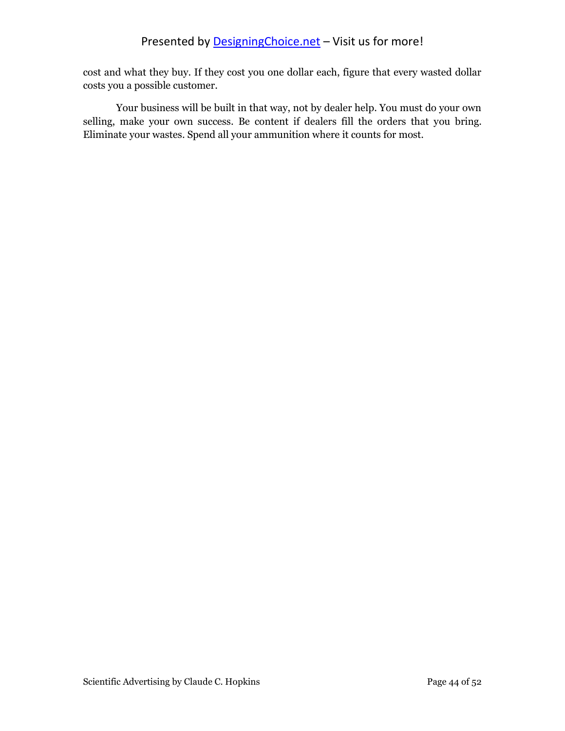cost and what they buy. If they cost you one dollar each, figure that every wasted dollar costs you a possible customer.

Your business will be built in that way, not by dealer help. You must do your own selling, make your own success. Be content if dealers fill the orders that you bring. Eliminate your wastes. Spend all your ammunition where it counts for most.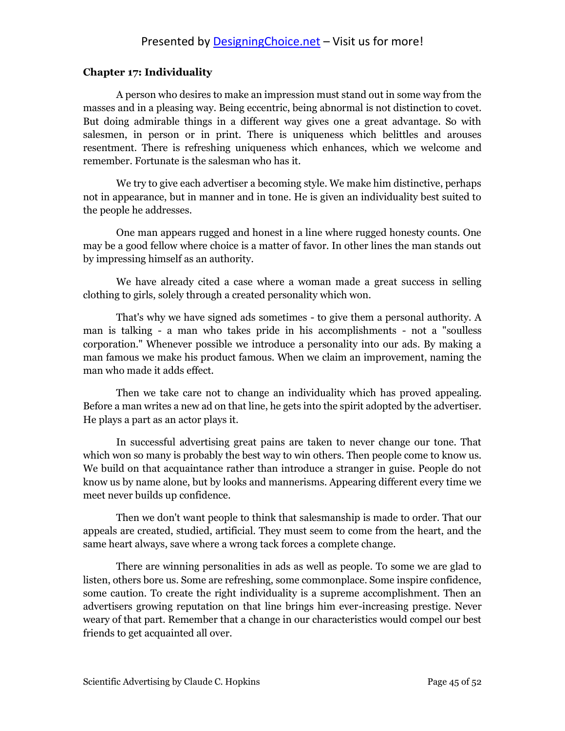#### **Chapter 17: Individuality**

A person who desires to make an impression must stand out in some way from the masses and in a pleasing way. Being eccentric, being abnormal is not distinction to covet. But doing admirable things in a different way gives one a great advantage. So with salesmen, in person or in print. There is uniqueness which belittles and arouses resentment. There is refreshing uniqueness which enhances, which we welcome and remember. Fortunate is the salesman who has it.

We try to give each advertiser a becoming style. We make him distinctive, perhaps not in appearance, but in manner and in tone. He is given an individuality best suited to the people he addresses.

One man appears rugged and honest in a line where rugged honesty counts. One may be a good fellow where choice is a matter of favor. In other lines the man stands out by impressing himself as an authority.

We have already cited a case where a woman made a great success in selling clothing to girls, solely through a created personality which won.

That's why we have signed ads sometimes - to give them a personal authority. A man is talking - a man who takes pride in his accomplishments - not a "soulless corporation." Whenever possible we introduce a personality into our ads. By making a man famous we make his product famous. When we claim an improvement, naming the man who made it adds effect.

Then we take care not to change an individuality which has proved appealing. Before a man writes a new ad on that line, he gets into the spirit adopted by the advertiser. He plays a part as an actor plays it.

In successful advertising great pains are taken to never change our tone. That which won so many is probably the best way to win others. Then people come to know us. We build on that acquaintance rather than introduce a stranger in guise. People do not know us by name alone, but by looks and mannerisms. Appearing different every time we meet never builds up confidence.

Then we don't want people to think that salesmanship is made to order. That our appeals are created, studied, artificial. They must seem to come from the heart, and the same heart always, save where a wrong tack forces a complete change.

There are winning personalities in ads as well as people. To some we are glad to listen, others bore us. Some are refreshing, some commonplace. Some inspire confidence, some caution. To create the right individuality is a supreme accomplishment. Then an advertisers growing reputation on that line brings him ever-increasing prestige. Never weary of that part. Remember that a change in our characteristics would compel our best friends to get acquainted all over.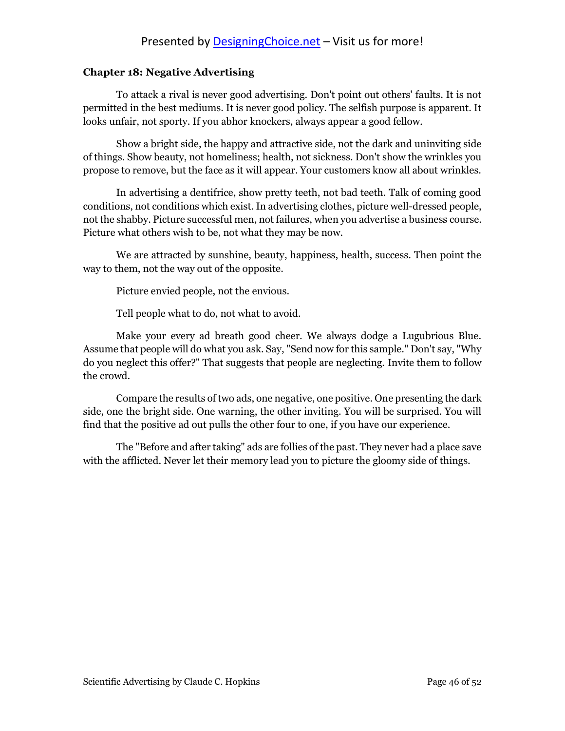#### **Chapter 18: Negative Advertising**

To attack a rival is never good advertising. Don't point out others' faults. It is not permitted in the best mediums. It is never good policy. The selfish purpose is apparent. It looks unfair, not sporty. If you abhor knockers, always appear a good fellow.

Show a bright side, the happy and attractive side, not the dark and uninviting side of things. Show beauty, not homeliness; health, not sickness. Don't show the wrinkles you propose to remove, but the face as it will appear. Your customers know all about wrinkles.

In advertising a dentifrice, show pretty teeth, not bad teeth. Talk of coming good conditions, not conditions which exist. In advertising clothes, picture well-dressed people, not the shabby. Picture successful men, not failures, when you advertise a business course. Picture what others wish to be, not what they may be now.

We are attracted by sunshine, beauty, happiness, health, success. Then point the way to them, not the way out of the opposite.

Picture envied people, not the envious.

Tell people what to do, not what to avoid.

Make your every ad breath good cheer. We always dodge a Lugubrious Blue. Assume that people will do what you ask. Say, "Send now for this sample." Don't say, "Why do you neglect this offer?" That suggests that people are neglecting. Invite them to follow the crowd.

Compare the results of two ads, one negative, one positive. One presenting the dark side, one the bright side. One warning, the other inviting. You will be surprised. You will find that the positive ad out pulls the other four to one, if you have our experience.

The "Before and after taking" ads are follies of the past. They never had a place save with the afflicted. Never let their memory lead you to picture the gloomy side of things.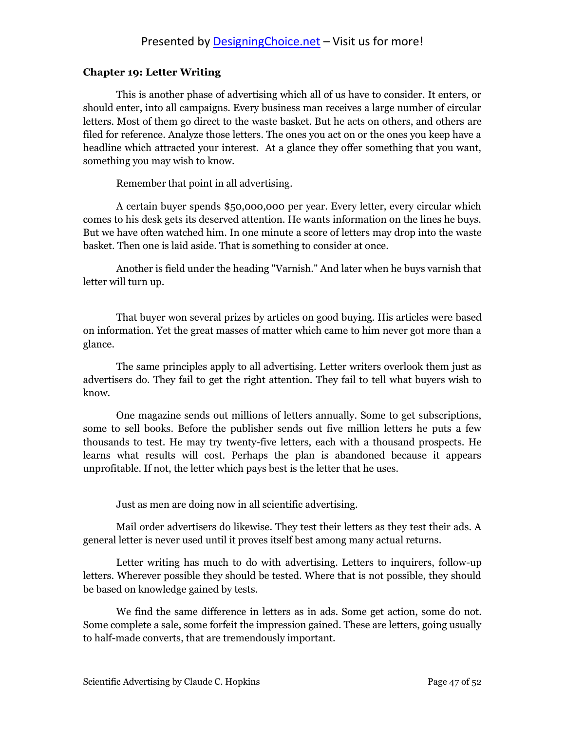#### **Chapter 19: Letter Writing**

This is another phase of advertising which all of us have to consider. It enters, or should enter, into all campaigns. Every business man receives a large number of circular letters. Most of them go direct to the waste basket. But he acts on others, and others are filed for reference. Analyze those letters. The ones you act on or the ones you keep have a headline which attracted your interest. At a glance they offer something that you want, something you may wish to know.

Remember that point in all advertising.

A certain buyer spends \$50,000,000 per year. Every letter, every circular which comes to his desk gets its deserved attention. He wants information on the lines he buys. But we have often watched him. In one minute a score of letters may drop into the waste basket. Then one is laid aside. That is something to consider at once.

Another is field under the heading "Varnish." And later when he buys varnish that letter will turn up.

That buyer won several prizes by articles on good buying. His articles were based on information. Yet the great masses of matter which came to him never got more than a glance.

The same principles apply to all advertising. Letter writers overlook them just as advertisers do. They fail to get the right attention. They fail to tell what buyers wish to know.

One magazine sends out millions of letters annually. Some to get subscriptions, some to sell books. Before the publisher sends out five million letters he puts a few thousands to test. He may try twenty-five letters, each with a thousand prospects. He learns what results will cost. Perhaps the plan is abandoned because it appears unprofitable. If not, the letter which pays best is the letter that he uses.

Just as men are doing now in all scientific advertising.

Mail order advertisers do likewise. They test their letters as they test their ads. A general letter is never used until it proves itself best among many actual returns.

Letter writing has much to do with advertising. Letters to inquirers, follow-up letters. Wherever possible they should be tested. Where that is not possible, they should be based on knowledge gained by tests.

We find the same difference in letters as in ads. Some get action, some do not. Some complete a sale, some forfeit the impression gained. These are letters, going usually to half-made converts, that are tremendously important.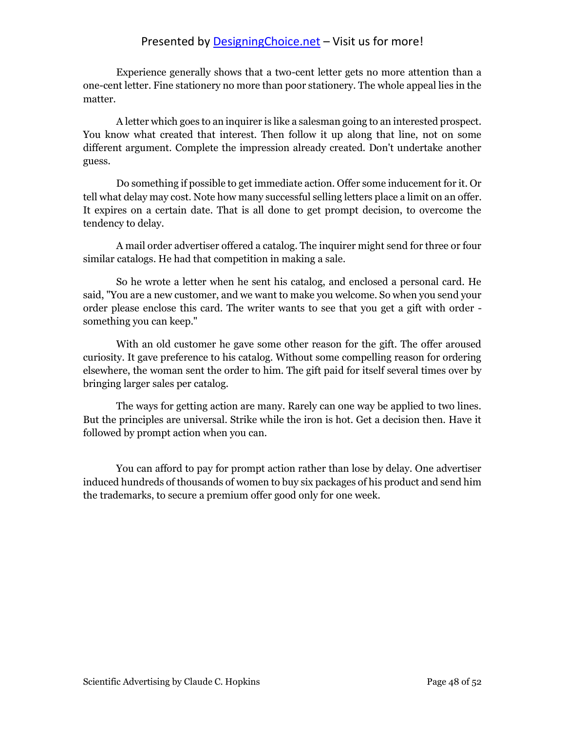Experience generally shows that a two-cent letter gets no more attention than a one-cent letter. Fine stationery no more than poor stationery. The whole appeal lies in the matter.

A letter which goes to an inquirer is like a salesman going to an interested prospect. You know what created that interest. Then follow it up along that line, not on some different argument. Complete the impression already created. Don't undertake another guess.

Do something if possible to get immediate action. Offer some inducement for it. Or tell what delay may cost. Note how many successful selling letters place a limit on an offer. It expires on a certain date. That is all done to get prompt decision, to overcome the tendency to delay.

A mail order advertiser offered a catalog. The inquirer might send for three or four similar catalogs. He had that competition in making a sale.

So he wrote a letter when he sent his catalog, and enclosed a personal card. He said, "You are a new customer, and we want to make you welcome. So when you send your order please enclose this card. The writer wants to see that you get a gift with order something you can keep."

With an old customer he gave some other reason for the gift. The offer aroused curiosity. It gave preference to his catalog. Without some compelling reason for ordering elsewhere, the woman sent the order to him. The gift paid for itself several times over by bringing larger sales per catalog.

The ways for getting action are many. Rarely can one way be applied to two lines. But the principles are universal. Strike while the iron is hot. Get a decision then. Have it followed by prompt action when you can.

You can afford to pay for prompt action rather than lose by delay. One advertiser induced hundreds of thousands of women to buy six packages of his product and send him the trademarks, to secure a premium offer good only for one week.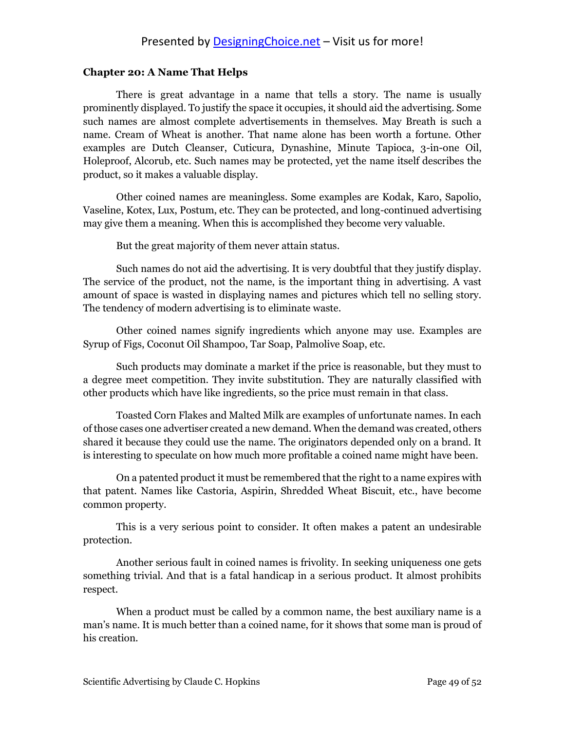#### **Chapter 20: A Name That Helps**

There is great advantage in a name that tells a story. The name is usually prominently displayed. To justify the space it occupies, it should aid the advertising. Some such names are almost complete advertisements in themselves. May Breath is such a name. Cream of Wheat is another. That name alone has been worth a fortune. Other examples are Dutch Cleanser, Cuticura, Dynashine, Minute Tapioca, 3-in-one Oil, Holeproof, Alcorub, etc. Such names may be protected, yet the name itself describes the product, so it makes a valuable display.

Other coined names are meaningless. Some examples are Kodak, Karo, Sapolio, Vaseline, Kotex, Lux, Postum, etc. They can be protected, and long-continued advertising may give them a meaning. When this is accomplished they become very valuable.

But the great majority of them never attain status.

Such names do not aid the advertising. It is very doubtful that they justify display. The service of the product, not the name, is the important thing in advertising. A vast amount of space is wasted in displaying names and pictures which tell no selling story. The tendency of modern advertising is to eliminate waste.

Other coined names signify ingredients which anyone may use. Examples are Syrup of Figs, Coconut Oil Shampoo, Tar Soap, Palmolive Soap, etc.

Such products may dominate a market if the price is reasonable, but they must to a degree meet competition. They invite substitution. They are naturally classified with other products which have like ingredients, so the price must remain in that class.

Toasted Corn Flakes and Malted Milk are examples of unfortunate names. In each of those cases one advertiser created a new demand. When the demand was created, others shared it because they could use the name. The originators depended only on a brand. It is interesting to speculate on how much more profitable a coined name might have been.

On a patented product it must be remembered that the right to a name expires with that patent. Names like Castoria, Aspirin, Shredded Wheat Biscuit, etc., have become common property.

This is a very serious point to consider. It often makes a patent an undesirable protection.

Another serious fault in coined names is frivolity. In seeking uniqueness one gets something trivial. And that is a fatal handicap in a serious product. It almost prohibits respect.

When a product must be called by a common name, the best auxiliary name is a man's name. It is much better than a coined name, for it shows that some man is proud of his creation.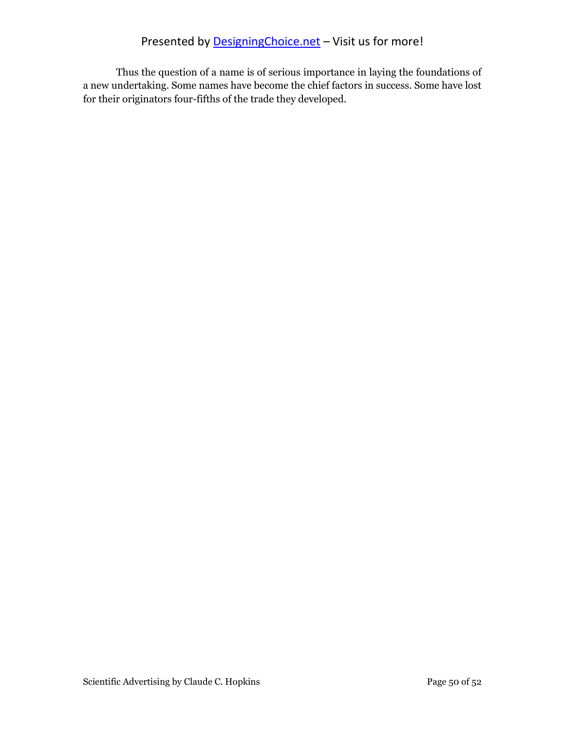Thus the question of a name is of serious importance in laying the foundations of a new undertaking. Some names have become the chief factors in success. Some have lost for their originators four-fifths of the trade they developed.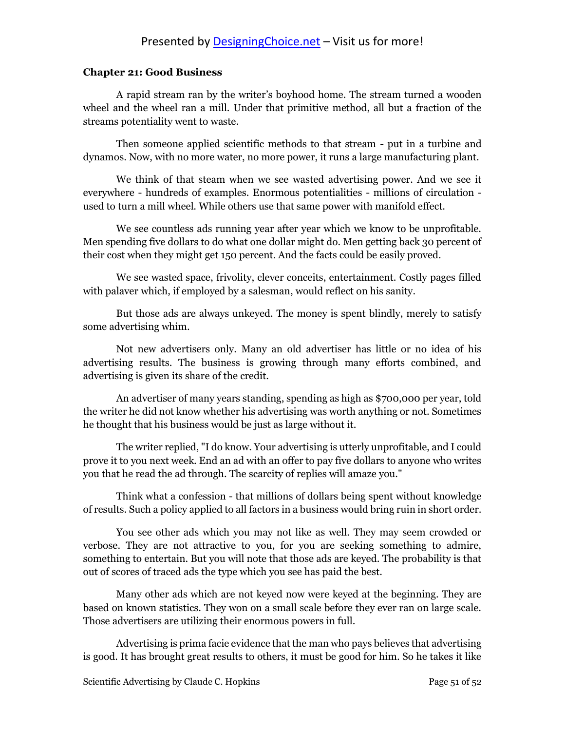#### **Chapter 21: Good Business**

A rapid stream ran by the writer's boyhood home. The stream turned a wooden wheel and the wheel ran a mill. Under that primitive method, all but a fraction of the streams potentiality went to waste.

Then someone applied scientific methods to that stream - put in a turbine and dynamos. Now, with no more water, no more power, it runs a large manufacturing plant.

We think of that steam when we see wasted advertising power. And we see it everywhere - hundreds of examples. Enormous potentialities - millions of circulation used to turn a mill wheel. While others use that same power with manifold effect.

We see countless ads running year after year which we know to be unprofitable. Men spending five dollars to do what one dollar might do. Men getting back 30 percent of their cost when they might get 150 percent. And the facts could be easily proved.

We see wasted space, frivolity, clever conceits, entertainment. Costly pages filled with palaver which, if employed by a salesman, would reflect on his sanity.

But those ads are always unkeyed. The money is spent blindly, merely to satisfy some advertising whim.

Not new advertisers only. Many an old advertiser has little or no idea of his advertising results. The business is growing through many efforts combined, and advertising is given its share of the credit.

An advertiser of many years standing, spending as high as \$700,000 per year, told the writer he did not know whether his advertising was worth anything or not. Sometimes he thought that his business would be just as large without it.

The writer replied, "I do know. Your advertising is utterly unprofitable, and I could prove it to you next week. End an ad with an offer to pay five dollars to anyone who writes you that he read the ad through. The scarcity of replies will amaze you."

Think what a confession - that millions of dollars being spent without knowledge of results. Such a policy applied to all factors in a business would bring ruin in short order.

You see other ads which you may not like as well. They may seem crowded or verbose. They are not attractive to you, for you are seeking something to admire, something to entertain. But you will note that those ads are keyed. The probability is that out of scores of traced ads the type which you see has paid the best.

Many other ads which are not keyed now were keyed at the beginning. They are based on known statistics. They won on a small scale before they ever ran on large scale. Those advertisers are utilizing their enormous powers in full.

Advertising is prima facie evidence that the man who pays believes that advertising is good. It has brought great results to others, it must be good for him. So he takes it like